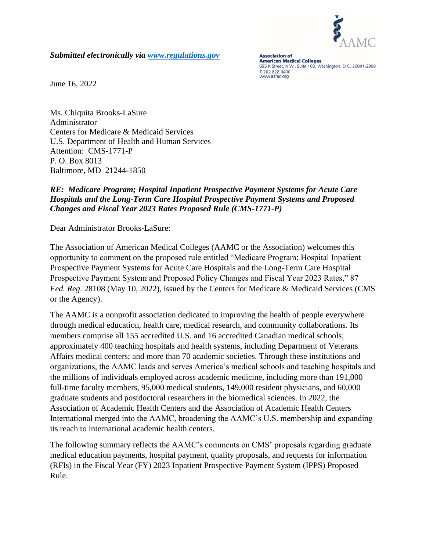

*Submitted electronically via [www.regulations.gov](http://www.regulations.gov/)*

**Association of American Medical Colleges** 655 K Street, N.W., Suite 100, Washington, D.C. 20001-2399 T 202 828 0400 www.aamc.org

June 16, 2022

Ms. Chiquita Brooks-LaSure Administrator Centers for Medicare & Medicaid Services U.S. Department of Health and Human Services Attention: CMS-1771-P P. O. Box 8013 Baltimore, MD 21244-1850

#### *RE: Medicare Program; Hospital Inpatient Prospective Payment Systems for Acute Care Hospitals and the Long-Term Care Hospital Prospective Payment Systems and Proposed Changes and Fiscal Year 2023 Rates Proposed Rule (CMS-1771-P)*

Dear Administrator Brooks-LaSure:

The Association of American Medical Colleges (AAMC or the Association) welcomes this opportunity to comment on the proposed rule entitled "Medicare Program; Hospital Inpatient Prospective Payment Systems for Acute Care Hospitals and the Long-Term Care Hospital Prospective Payment System and Proposed Policy Changes and Fiscal Year 2023 Rates," 87 *Fed. Reg*. 28108 (May 10, 2022), issued by the Centers for Medicare & Medicaid Services (CMS or the Agency).

The AAMC is a nonprofit association dedicated to improving the health of people everywhere through medical education, health care, medical research, and community collaborations. Its members comprise all 155 accredited U.S. and 16 accredited Canadian medical schools; approximately 400 teaching hospitals and health systems, including Department of Veterans Affairs medical centers; and more than 70 academic societies. Through these institutions and organizations, the AAMC leads and serves America's medical schools and teaching hospitals and the millions of individuals employed across academic medicine, including more than 191,000 full-time faculty members, 95,000 medical students, 149,000 resident physicians, and 60,000 graduate students and postdoctoral researchers in the biomedical sciences. In 2022, the Association of Academic Health Centers and the Association of Academic Health Centers International merged into the AAMC, broadening the AAMC's U.S. membership and expanding its reach to international academic health centers.

The following summary reflects the AAMC's comments on CMS' proposals regarding graduate medical education payments, hospital payment, quality proposals, and requests for information (RFIs) in the Fiscal Year (FY) 2023 Inpatient Prospective Payment System (IPPS) Proposed Rule.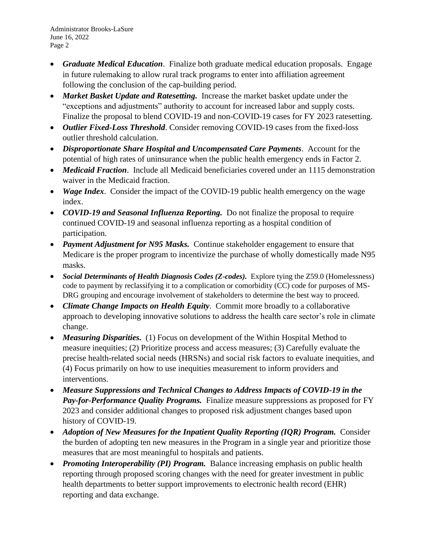- *Graduate Medical Education*. Finalize both graduate medical education proposals. Engage in future rulemaking to allow rural track programs to enter into affiliation agreement following the conclusion of the cap-building period.
- *Market Basket Update and Ratesetting.* Increase the market basket update under the "exceptions and adjustments" authority to account for increased labor and supply costs. Finalize the proposal to blend COVID-19 and non-COVID-19 cases for FY 2023 ratesetting.
- *Outlier Fixed-Loss Threshold*. Consider removing COVID-19 cases from the fixed-loss outlier threshold calculation.
- *Disproportionate Share Hospital and Uncompensated Care Payments*. Account for the potential of high rates of uninsurance when the public health emergency ends in Factor 2.
- *Medicaid Fraction*. Include all Medicaid beneficiaries covered under an 1115 demonstration waiver in the Medicaid fraction.
- *Wage Index.* Consider the impact of the COVID-19 public health emergency on the wage index.
- *COVID-19 and Seasonal Influenza Reporting.* Do not finalize the proposal to require continued COVID-19 and seasonal influenza reporting as a hospital condition of participation.
- *Payment Adjustment for N95 Masks.* Continue stakeholder engagement to ensure that Medicare is the proper program to incentivize the purchase of wholly domestically made N95 masks.
- *Social Determinants of Health Diagnosis Codes (Z-codes).* Explore tying the Z59.0 (Homelessness) code to payment by reclassifying it to a complication or comorbidity (CC) code for purposes of MS-DRG grouping and encourage involvement of stakeholders to determine the best way to proceed.
- *Climate Change Impacts on Health Equity*. Commit more broadly to a collaborative approach to developing innovative solutions to address the health care sector's role in climate change.
- *Measuring Disparities.* (1) Focus on development of the Within Hospital Method to measure inequities; (2) Prioritize process and access measures; (3) Carefully evaluate the precise health-related social needs (HRSNs) and social risk factors to evaluate inequities, and (4) Focus primarily on how to use inequities measurement to inform providers and interventions.
- *Measure Suppressions and Technical Changes to Address Impacts of COVID-19 in the Pay-for-Performance Quality Programs.* Finalize measure suppressions as proposed for FY 2023 and consider additional changes to proposed risk adjustment changes based upon history of COVID-19.
- *Adoption of New Measures for the Inpatient Quality Reporting (IQR) Program.* Consider the burden of adopting ten new measures in the Program in a single year and prioritize those measures that are most meaningful to hospitals and patients.
- *Promoting Interoperability (PI) Program.* Balance increasing emphasis on public health reporting through proposed scoring changes with the need for greater investment in public health departments to better support improvements to electronic health record (EHR) reporting and data exchange.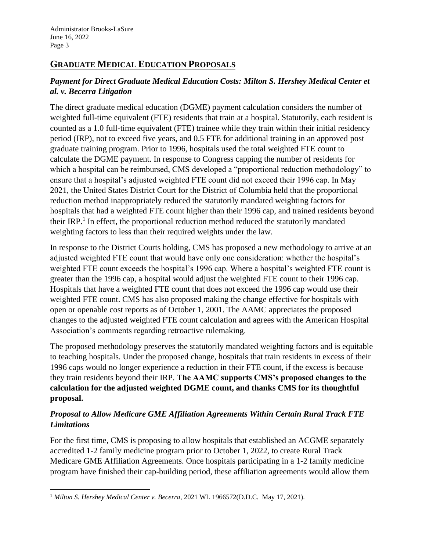# **GRADUATE MEDICAL EDUCATION PROPOSALS**

# *Payment for Direct Graduate Medical Education Costs: Milton S. Hershey Medical Center et al. v. Becerra Litigation*

The direct graduate medical education (DGME) payment calculation considers the number of weighted full-time equivalent (FTE) residents that train at a hospital. Statutorily, each resident is counted as a 1.0 full-time equivalent (FTE) trainee while they train within their initial residency period (IRP), not to exceed five years, and 0.5 FTE for additional training in an approved post graduate training program. Prior to 1996, hospitals used the total weighted FTE count to calculate the DGME payment. In response to Congress capping the number of residents for which a hospital can be reimbursed, CMS developed a "proportional reduction methodology" to ensure that a hospital's adjusted weighted FTE count did not exceed their 1996 cap. In May 2021, the United States District Court for the District of Columbia held that the proportional reduction method inappropriately reduced the statutorily mandated weighting factors for hospitals that had a weighted FTE count higher than their 1996 cap, and trained residents beyond their IRP.<sup>1</sup> In effect, the proportional reduction method reduced the statutorily mandated weighting factors to less than their required weights under the law.

In response to the District Courts holding, CMS has proposed a new methodology to arrive at an adjusted weighted FTE count that would have only one consideration: whether the hospital's weighted FTE count exceeds the hospital's 1996 cap. Where a hospital's weighted FTE count is greater than the 1996 cap, a hospital would adjust the weighted FTE count to their 1996 cap. Hospitals that have a weighted FTE count that does not exceed the 1996 cap would use their weighted FTE count. CMS has also proposed making the change effective for hospitals with open or openable cost reports as of October 1, 2001. The AAMC appreciates the proposed changes to the adjusted weighted FTE count calculation and agrees with the American Hospital Association's comments regarding retroactive rulemaking.

The proposed methodology preserves the statutorily mandated weighting factors and is equitable to teaching hospitals. Under the proposed change, hospitals that train residents in excess of their 1996 caps would no longer experience a reduction in their FTE count, if the excess is because they train residents beyond their IRP. **The AAMC supports CMS's proposed changes to the calculation for the adjusted weighted DGME count, and thanks CMS for its thoughtful proposal.**

## *Proposal to Allow Medicare GME Affiliation Agreements Within Certain Rural Track FTE Limitations*

For the first time, CMS is proposing to allow hospitals that established an ACGME separately accredited 1-2 family medicine program prior to October 1, 2022, to create Rural Track Medicare GME Affiliation Agreements. Once hospitals participating in a 1-2 family medicine program have finished their cap-building period, these affiliation agreements would allow them

<sup>&</sup>lt;sup>1</sup> Milton S. Hershey Medical Center v. Becerra, 2021 WL 1966572(D.D.C. May 17, 2021).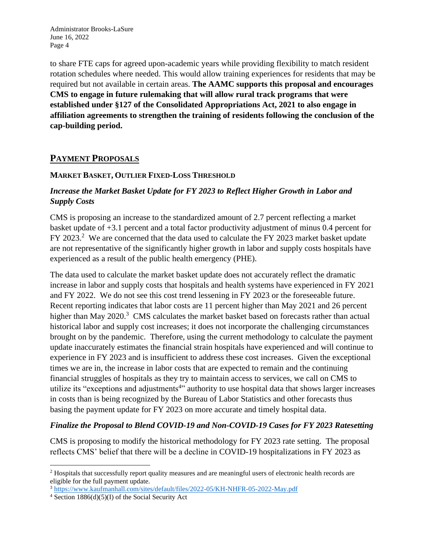to share FTE caps for agreed upon-academic years while providing flexibility to match resident rotation schedules where needed. This would allow training experiences for residents that may be required but not available in certain areas. **The AAMC supports this proposal and encourages CMS to engage in future rulemaking that will allow rural track programs that were established under §127 of the Consolidated Appropriations Act, 2021 to also engage in affiliation agreements to strengthen the training of residents following the conclusion of the cap-building period.**

## **PAYMENT PROPOSALS**

#### **MARKET BASKET, OUTLIER FIXED-LOSS THRESHOLD**

## *Increase the Market Basket Update for FY 2023 to Reflect Higher Growth in Labor and Supply Costs*

CMS is proposing an increase to the standardized amount of 2.7 percent reflecting a market basket update of +3.1 percent and a total factor productivity adjustment of minus 0.4 percent for FY 2023.<sup>2</sup> We are concerned that the data used to calculate the FY 2023 market basket update are not representative of the significantly higher growth in labor and supply costs hospitals have experienced as a result of the public health emergency (PHE).

The data used to calculate the market basket update does not accurately reflect the dramatic increase in labor and supply costs that hospitals and health systems have experienced in FY 2021 and FY 2022. We do not see this cost trend lessening in FY 2023 or the foreseeable future. Recent reporting indicates that labor costs are 11 percent higher than May 2021 and 26 percent higher than May 2020.<sup>3</sup> CMS calculates the market basket based on forecasts rather than actual historical labor and supply cost increases; it does not incorporate the challenging circumstances brought on by the pandemic. Therefore, using the current methodology to calculate the payment update inaccurately estimates the financial strain hospitals have experienced and will continue to experience in FY 2023 and is insufficient to address these cost increases. Given the exceptional times we are in, the increase in labor costs that are expected to remain and the continuing financial struggles of hospitals as they try to maintain access to services, we call on CMS to utilize its "exceptions and adjustments<sup>4</sup>" authority to use hospital data that shows larger increases in costs than is being recognized by the Bureau of Labor Statistics and other forecasts thus basing the payment update for FY 2023 on more accurate and timely hospital data.

#### *Finalize the Proposal to Blend COVID-19 and Non-COVID-19 Cases for FY 2023 Ratesetting*

CMS is proposing to modify the historical methodology for FY 2023 rate setting. The proposal reflects CMS' belief that there will be a decline in COVID-19 hospitalizations in FY 2023 as

<sup>&</sup>lt;sup>2</sup> Hospitals that successfully report quality measures and are meaningful users of electronic health records are eligible for the full payment update.

<sup>3</sup> <https://www.kaufmanhall.com/sites/default/files/2022-05/KH-NHFR-05-2022-May.pdf>

 $4$  Section 1886(d)(5)(I) of the Social Security Act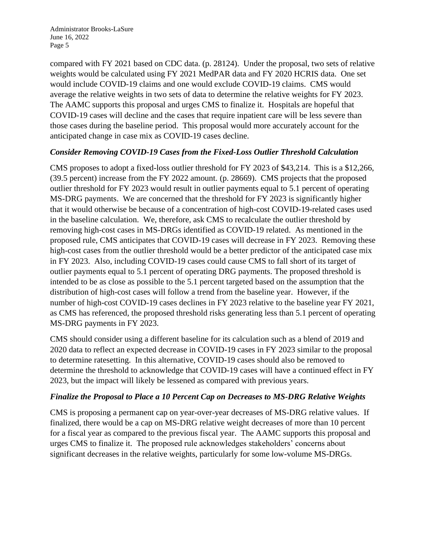compared with FY 2021 based on CDC data. (p. 28124). Under the proposal, two sets of relative weights would be calculated using FY 2021 MedPAR data and FY 2020 HCRIS data. One set would include COVID-19 claims and one would exclude COVID-19 claims. CMS would average the relative weights in two sets of data to determine the relative weights for FY 2023. The AAMC supports this proposal and urges CMS to finalize it. Hospitals are hopeful that COVID-19 cases will decline and the cases that require inpatient care will be less severe than those cases during the baseline period. This proposal would more accurately account for the anticipated change in case mix as COVID-19 cases decline.

## *Consider Removing COVID-19 Cases from the Fixed-Loss Outlier Threshold Calculation*

CMS proposes to adopt a fixed-loss outlier threshold for FY 2023 of \$43,214. This is a \$12,266, (39.5 percent) increase from the FY 2022 amount. (p. 28669). CMS projects that the proposed outlier threshold for FY 2023 would result in outlier payments equal to 5.1 percent of operating MS-DRG payments. We are concerned that the threshold for FY 2023 is significantly higher that it would otherwise be because of a concentration of high-cost COVID-19-related cases used in the baseline calculation. We, therefore, ask CMS to recalculate the outlier threshold by removing high-cost cases in MS-DRGs identified as COVID-19 related. As mentioned in the proposed rule, CMS anticipates that COVID-19 cases will decrease in FY 2023. Removing these high-cost cases from the outlier threshold would be a better predictor of the anticipated case mix in FY 2023. Also, including COVID-19 cases could cause CMS to fall short of its target of outlier payments equal to 5.1 percent of operating DRG payments. The proposed threshold is intended to be as close as possible to the 5.1 percent targeted based on the assumption that the distribution of high-cost cases will follow a trend from the baseline year. However, if the number of high-cost COVID-19 cases declines in FY 2023 relative to the baseline year FY 2021, as CMS has referenced, the proposed threshold risks generating less than 5.1 percent of operating MS-DRG payments in FY 2023.

CMS should consider using a different baseline for its calculation such as a blend of 2019 and 2020 data to reflect an expected decrease in COVID-19 cases in FY 2023 similar to the proposal to determine ratesetting. In this alternative, COVID-19 cases should also be removed to determine the threshold to acknowledge that COVID-19 cases will have a continued effect in FY 2023, but the impact will likely be lessened as compared with previous years.

#### *Finalize the Proposal to Place a 10 Percent Cap on Decreases to MS-DRG Relative Weights*

CMS is proposing a permanent cap on year-over-year decreases of MS-DRG relative values. If finalized, there would be a cap on MS-DRG relative weight decreases of more than 10 percent for a fiscal year as compared to the previous fiscal year. The AAMC supports this proposal and urges CMS to finalize it. The proposed rule acknowledges stakeholders' concerns about significant decreases in the relative weights, particularly for some low-volume MS-DRGs.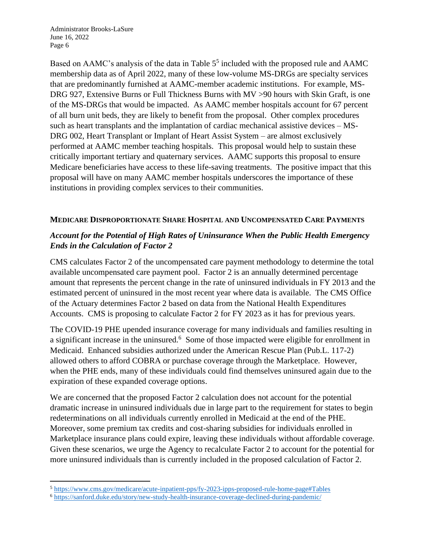Based on AAMC's analysis of the data in Table  $5<sup>5</sup>$  included with the proposed rule and AAMC membership data as of April 2022, many of these low-volume MS-DRGs are specialty services that are predominantly furnished at AAMC-member academic institutions. For example, MS-DRG 927, Extensive Burns or Full Thickness Burns with MV >90 hours with Skin Graft, is one of the MS-DRGs that would be impacted. As AAMC member hospitals account for 67 percent of all burn unit beds, they are likely to benefit from the proposal. Other complex procedures such as heart transplants and the implantation of cardiac mechanical assistive devices – MS-DRG 002, Heart Transplant or Implant of Heart Assist System – are almost exclusively performed at AAMC member teaching hospitals. This proposal would help to sustain these critically important tertiary and quaternary services. AAMC supports this proposal to ensure Medicare beneficiaries have access to these life-saving treatments. The positive impact that this proposal will have on many AAMC member hospitals underscores the importance of these institutions in providing complex services to their communities.

#### **MEDICARE DISPROPORTIONATE SHARE HOSPITAL AND UNCOMPENSATED CARE PAYMENTS**

## *Account for the Potential of High Rates of Uninsurance When the Public Health Emergency Ends in the Calculation of Factor 2*

CMS calculates Factor 2 of the uncompensated care payment methodology to determine the total available uncompensated care payment pool. Factor 2 is an annually determined percentage amount that represents the percent change in the rate of uninsured individuals in FY 2013 and the estimated percent of uninsured in the most recent year where data is available. The CMS Office of the Actuary determines Factor 2 based on data from the National Health Expenditures Accounts. CMS is proposing to calculate Factor 2 for FY 2023 as it has for previous years.

The COVID-19 PHE upended insurance coverage for many individuals and families resulting in a significant increase in the uninsured.<sup>6</sup> Some of those impacted were eligible for enrollment in Medicaid. Enhanced subsidies authorized under the American Rescue Plan (Pub.L. 117-2) allowed others to afford COBRA or purchase coverage through the Marketplace. However, when the PHE ends, many of these individuals could find themselves uninsured again due to the expiration of these expanded coverage options.

We are concerned that the proposed Factor 2 calculation does not account for the potential dramatic increase in uninsured individuals due in large part to the requirement for states to begin redeterminations on all individuals currently enrolled in Medicaid at the end of the PHE. Moreover, some premium tax credits and cost-sharing subsidies for individuals enrolled in Marketplace insurance plans could expire, leaving these individuals without affordable coverage. Given these scenarios, we urge the Agency to recalculate Factor 2 to account for the potential for more uninsured individuals than is currently included in the proposed calculation of Factor 2.

<sup>5</sup> <https://www.cms.gov/medicare/acute-inpatient-pps/fy-2023-ipps-proposed-rule-home-page#Tables>

<sup>6</sup> <https://sanford.duke.edu/story/new-study-health-insurance-coverage-declined-during-pandemic/>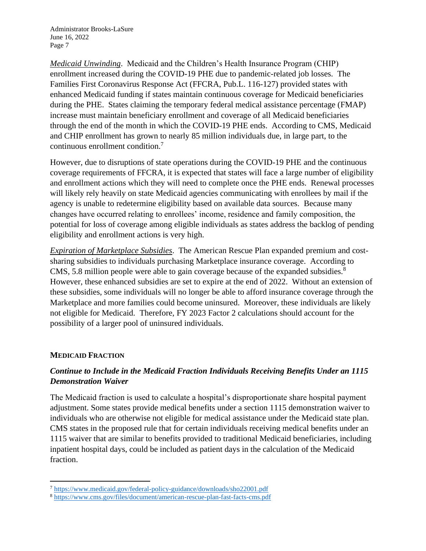*Medicaid Unwinding*. Medicaid and the Children's Health Insurance Program (CHIP) enrollment increased during the COVID-19 PHE due to pandemic-related job losses. The Families First Coronavirus Response Act (FFCRA, Pub.L. 116-127) provided states with enhanced Medicaid funding if states maintain continuous coverage for Medicaid beneficiaries during the PHE. States claiming the temporary federal medical assistance percentage (FMAP) increase must maintain beneficiary enrollment and coverage of all Medicaid beneficiaries through the end of the month in which the COVID-19 PHE ends. According to CMS, Medicaid and CHIP enrollment has grown to nearly 85 million individuals due, in large part, to the continuous enrollment condition.<sup>7</sup>

However, due to disruptions of state operations during the COVID-19 PHE and the continuous coverage requirements of FFCRA, it is expected that states will face a large number of eligibility and enrollment actions which they will need to complete once the PHE ends. Renewal processes will likely rely heavily on state Medicaid agencies communicating with enrollees by mail if the agency is unable to redetermine eligibility based on available data sources. Because many changes have occurred relating to enrollees' income, residence and family composition, the potential for loss of coverage among eligible individuals as states address the backlog of pending eligibility and enrollment actions is very high.

*Expiration of Marketplace Subsidies*. The American Rescue Plan expanded premium and costsharing subsidies to individuals purchasing Marketplace insurance coverage. According to CMS, 5.8 million people were able to gain coverage because of the expanded subsidies.<sup>8</sup> However, these enhanced subsidies are set to expire at the end of 2022. Without an extension of these subsidies, some individuals will no longer be able to afford insurance coverage through the Marketplace and more families could become uninsured. Moreover, these individuals are likely not eligible for Medicaid. Therefore, FY 2023 Factor 2 calculations should account for the possibility of a larger pool of uninsured individuals.

#### **MEDICAID FRACTION**

## *Continue to Include in the Medicaid Fraction Individuals Receiving Benefits Under an 1115 Demonstration Waiver*

The Medicaid fraction is used to calculate a hospital's disproportionate share hospital payment adjustment. Some states provide medical benefits under a section 1115 demonstration waiver to individuals who are otherwise not eligible for medical assistance under the Medicaid state plan. CMS states in the proposed rule that for certain individuals receiving medical benefits under an 1115 waiver that are similar to benefits provided to traditional Medicaid beneficiaries, including inpatient hospital days, could be included as patient days in the calculation of the Medicaid fraction.

<sup>7</sup> <https://www.medicaid.gov/federal-policy-guidance/downloads/sho22001.pdf>

<sup>8</sup> <https://www.cms.gov/files/document/american-rescue-plan-fast-facts-cms.pdf>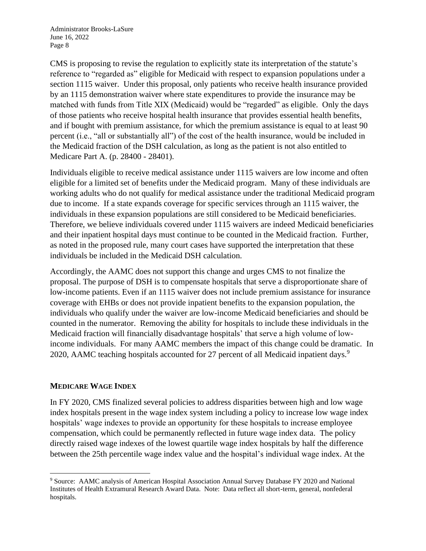CMS is proposing to revise the regulation to explicitly state its interpretation of the statute's reference to "regarded as" eligible for Medicaid with respect to expansion populations under a section 1115 waiver. Under this proposal, only patients who receive health insurance provided by an 1115 demonstration waiver where state expenditures to provide the insurance may be matched with funds from Title XIX (Medicaid) would be "regarded" as eligible. Only the days of those patients who receive hospital health insurance that provides essential health benefits, and if bought with premium assistance, for which the premium assistance is equal to at least 90 percent (i.e., "all or substantially all") of the cost of the health insurance, would be included in the Medicaid fraction of the DSH calculation, as long as the patient is not also entitled to Medicare Part A. (p. 28400 - 28401).

Individuals eligible to receive medical assistance under 1115 waivers are low income and often eligible for a limited set of benefits under the Medicaid program. Many of these individuals are working adults who do not qualify for medical assistance under the traditional Medicaid program due to income. If a state expands coverage for specific services through an 1115 waiver, the individuals in these expansion populations are still considered to be Medicaid beneficiaries. Therefore, we believe individuals covered under 1115 waivers are indeed Medicaid beneficiaries and their inpatient hospital days must continue to be counted in the Medicaid fraction. Further, as noted in the proposed rule, many court cases have supported the interpretation that these individuals be included in the Medicaid DSH calculation.

Accordingly, the AAMC does not support this change and urges CMS to not finalize the proposal. The purpose of DSH is to compensate hospitals that serve a disproportionate share of low-income patients. Even if an 1115 waiver does not include premium assistance for insurance coverage with EHBs or does not provide inpatient benefits to the expansion population, the individuals who qualify under the waiver are low-income Medicaid beneficiaries and should be counted in the numerator. Removing the ability for hospitals to include these individuals in the Medicaid fraction will financially disadvantage hospitals' that serve a high volume of lowincome individuals. For many AAMC members the impact of this change could be dramatic. In 2020, AAMC teaching hospitals accounted for 27 percent of all Medicaid inpatient days.<sup>9</sup>

#### **MEDICARE WAGE INDEX**

In FY 2020, CMS finalized several policies to address disparities between high and low wage index hospitals present in the wage index system including a policy to increase low wage index hospitals' wage indexes to provide an opportunity for these hospitals to increase employee compensation, which could be permanently reflected in future wage index data. The policy directly raised wage indexes of the lowest quartile wage index hospitals by half the difference between the 25th percentile wage index value and the hospital's individual wage index. At the

<sup>9</sup> Source: AAMC analysis of American Hospital Association Annual Survey Database FY 2020 and National Institutes of Health Extramural Research Award Data. Note: Data reflect all short-term, general, nonfederal hospitals.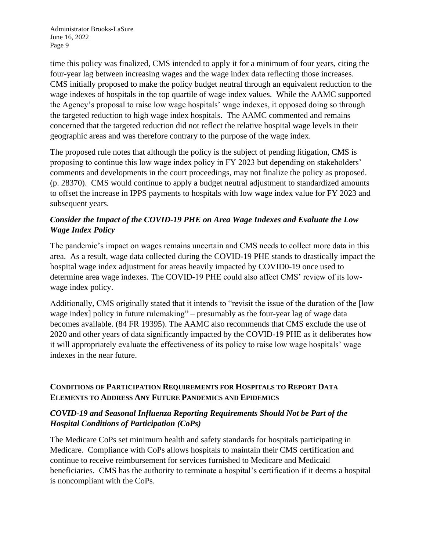time this policy was finalized, CMS intended to apply it for a minimum of four years, citing the four-year lag between increasing wages and the wage index data reflecting those increases. CMS initially proposed to make the policy budget neutral through an equivalent reduction to the wage indexes of hospitals in the top quartile of wage index values. While the AAMC supported the Agency's proposal to raise low wage hospitals' wage indexes, it opposed doing so through the targeted reduction to high wage index hospitals. The AAMC commented and remains concerned that the targeted reduction did not reflect the relative hospital wage levels in their geographic areas and was therefore contrary to the purpose of the wage index.

The proposed rule notes that although the policy is the subject of pending litigation, CMS is proposing to continue this low wage index policy in FY 2023 but depending on stakeholders' comments and developments in the court proceedings, may not finalize the policy as proposed. (p. 28370). CMS would continue to apply a budget neutral adjustment to standardized amounts to offset the increase in IPPS payments to hospitals with low wage index value for FY 2023 and subsequent years.

# *Consider the Impact of the COVID-19 PHE on Area Wage Indexes and Evaluate the Low Wage Index Policy*

The pandemic's impact on wages remains uncertain and CMS needs to collect more data in this area. As a result, wage data collected during the COVID-19 PHE stands to drastically impact the hospital wage index adjustment for areas heavily impacted by COVID0-19 once used to determine area wage indexes. The COVID-19 PHE could also affect CMS' review of its lowwage index policy.

Additionally, CMS originally stated that it intends to "revisit the issue of the duration of the [low wage index] policy in future rulemaking" – presumably as the four-year lag of wage data becomes available. (84 FR 19395). The AAMC also recommends that CMS exclude the use of 2020 and other years of data significantly impacted by the COVID-19 PHE as it deliberates how it will appropriately evaluate the effectiveness of its policy to raise low wage hospitals' wage indexes in the near future.

# **CONDITIONS OF PARTICIPATION REQUIREMENTS FOR HOSPITALS TO REPORT DATA ELEMENTS TO ADDRESS ANY FUTURE PANDEMICS AND EPIDEMICS**

## *COVID-19 and Seasonal Influenza Reporting Requirements Should Not be Part of the Hospital Conditions of Participation (CoPs)*

The Medicare CoPs set minimum health and safety standards for hospitals participating in Medicare. Compliance with CoPs allows hospitals to maintain their CMS certification and continue to receive reimbursement for services furnished to Medicare and Medicaid beneficiaries. CMS has the authority to terminate a hospital's certification if it deems a hospital is noncompliant with the CoPs.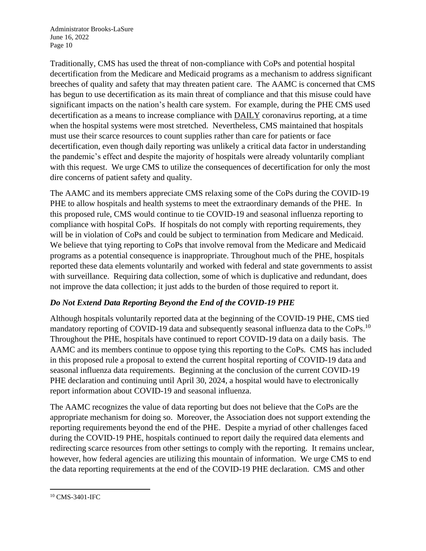Traditionally, CMS has used the threat of non-compliance with CoPs and potential hospital decertification from the Medicare and Medicaid programs as a mechanism to address significant breeches of quality and safety that may threaten patient care. The AAMC is concerned that CMS has begun to use decertification as its main threat of compliance and that this misuse could have significant impacts on the nation's health care system. For example, during the PHE CMS used decertification as a means to increase compliance with DAILY coronavirus reporting, at a time when the hospital systems were most stretched. Nevertheless, CMS maintained that hospitals must use their scarce resources to count supplies rather than care for patients or face decertification, even though daily reporting was unlikely a critical data factor in understanding the pandemic's effect and despite the majority of hospitals were already voluntarily compliant with this request. We urge CMS to utilize the consequences of decertification for only the most dire concerns of patient safety and quality.

The AAMC and its members appreciate CMS relaxing some of the CoPs during the COVID-19 PHE to allow hospitals and health systems to meet the extraordinary demands of the PHE. In this proposed rule, CMS would continue to tie COVID-19 and seasonal influenza reporting to compliance with hospital CoPs. If hospitals do not comply with reporting requirements, they will be in violation of CoPs and could be subject to termination from Medicare and Medicaid. We believe that tying reporting to CoPs that involve removal from the Medicare and Medicaid programs as a potential consequence is inappropriate. Throughout much of the PHE, hospitals reported these data elements voluntarily and worked with federal and state governments to assist with surveillance. Requiring data collection, some of which is duplicative and redundant, does not improve the data collection; it just adds to the burden of those required to report it.

## *Do Not Extend Data Reporting Beyond the End of the COVID-19 PHE*

Although hospitals voluntarily reported data at the beginning of the COVID-19 PHE, CMS tied mandatory reporting of COVID-19 data and subsequently seasonal influenza data to the CoPs.<sup>10</sup> Throughout the PHE, hospitals have continued to report COVID-19 data on a daily basis. The AAMC and its members continue to oppose tying this reporting to the CoPs. CMS has included in this proposed rule a proposal to extend the current hospital reporting of COVID-19 data and seasonal influenza data requirements. Beginning at the conclusion of the current COVID-19 PHE declaration and continuing until April 30, 2024, a hospital would have to electronically report information about COVID-19 and seasonal influenza.

The AAMC recognizes the value of data reporting but does not believe that the CoPs are the appropriate mechanism for doing so. Moreover, the Association does not support extending the reporting requirements beyond the end of the PHE. Despite a myriad of other challenges faced during the COVID-19 PHE, hospitals continued to report daily the required data elements and redirecting scarce resources from other settings to comply with the reporting. It remains unclear, however, how federal agencies are utilizing this mountain of information. We urge CMS to end the data reporting requirements at the end of the COVID-19 PHE declaration. CMS and other

<sup>10</sup> CMS-3401-IFC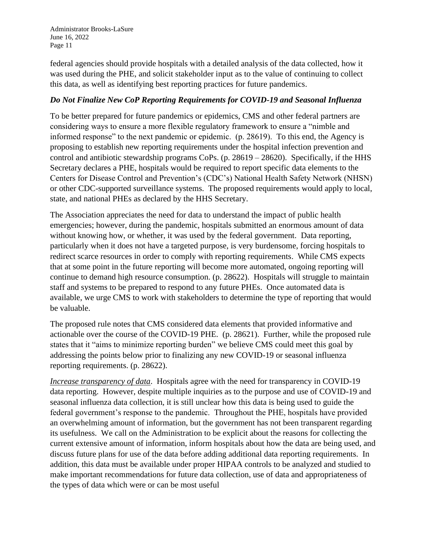federal agencies should provide hospitals with a detailed analysis of the data collected, how it was used during the PHE, and solicit stakeholder input as to the value of continuing to collect this data, as well as identifying best reporting practices for future pandemics.

## *Do Not Finalize New CoP Reporting Requirements for COVID-19 and Seasonal Influenza*

To be better prepared for future pandemics or epidemics, CMS and other federal partners are considering ways to ensure a more flexible regulatory framework to ensure a "nimble and informed response" to the next pandemic or epidemic. (p. 28619). To this end, the Agency is proposing to establish new reporting requirements under the hospital infection prevention and control and antibiotic stewardship programs CoPs. (p. 28619 – 28620). Specifically, if the HHS Secretary declares a PHE, hospitals would be required to report specific data elements to the Centers for Disease Control and Prevention's (CDC's) National Health Safety Network (NHSN) or other CDC-supported surveillance systems. The proposed requirements would apply to local, state, and national PHEs as declared by the HHS Secretary.

The Association appreciates the need for data to understand the impact of public health emergencies; however, during the pandemic, hospitals submitted an enormous amount of data without knowing how, or whether, it was used by the federal government. Data reporting, particularly when it does not have a targeted purpose, is very burdensome, forcing hospitals to redirect scarce resources in order to comply with reporting requirements. While CMS expects that at some point in the future reporting will become more automated, ongoing reporting will continue to demand high resource consumption. (p. 28622). Hospitals will struggle to maintain staff and systems to be prepared to respond to any future PHEs. Once automated data is available, we urge CMS to work with stakeholders to determine the type of reporting that would be valuable.

The proposed rule notes that CMS considered data elements that provided informative and actionable over the course of the COVID-19 PHE. (p. 28621). Further, while the proposed rule states that it "aims to minimize reporting burden" we believe CMS could meet this goal by addressing the points below prior to finalizing any new COVID-19 or seasonal influenza reporting requirements. (p. 28622).

*Increase transparency of data*. Hospitals agree with the need for transparency in COVID-19 data reporting. However, despite multiple inquiries as to the purpose and use of COVID-19 and seasonal influenza data collection, it is still unclear how this data is being used to guide the federal government's response to the pandemic. Throughout the PHE, hospitals have provided an overwhelming amount of information, but the government has not been transparent regarding its usefulness. We call on the Administration to be explicit about the reasons for collecting the current extensive amount of information, inform hospitals about how the data are being used, and discuss future plans for use of the data before adding additional data reporting requirements. In addition, this data must be available under proper HIPAA controls to be analyzed and studied to make important recommendations for future data collection, use of data and appropriateness of the types of data which were or can be most useful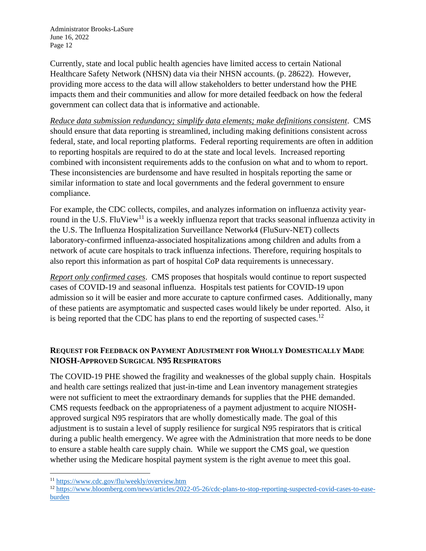Currently, state and local public health agencies have limited access to certain National Healthcare Safety Network (NHSN) data via their NHSN accounts. (p. 28622). However, providing more access to the data will allow stakeholders to better understand how the PHE impacts them and their communities and allow for more detailed feedback on how the federal government can collect data that is informative and actionable.

*Reduce data submission redundancy; simplify data elements; make definitions consistent*. CMS should ensure that data reporting is streamlined, including making definitions consistent across federal, state, and local reporting platforms. Federal reporting requirements are often in addition to reporting hospitals are required to do at the state and local levels. Increased reporting combined with inconsistent requirements adds to the confusion on what and to whom to report. These inconsistencies are burdensome and have resulted in hospitals reporting the same or similar information to state and local governments and the federal government to ensure compliance.

For example, the CDC collects, compiles, and analyzes information on influenza activity yearround in the U.S. FluView<sup>11</sup> is a weekly influenza report that tracks seasonal influenza activity in the U.S. The Influenza Hospitalization Surveillance Network4 (FluSurv-NET) collects laboratory-confirmed influenza-associated hospitalizations among children and adults from a network of acute care hospitals to track influenza infections. Therefore, requiring hospitals to also report this information as part of hospital CoP data requirements is unnecessary.

*Report only confirmed cases*. CMS proposes that hospitals would continue to report suspected cases of COVID-19 and seasonal influenza. Hospitals test patients for COVID-19 upon admission so it will be easier and more accurate to capture confirmed cases. Additionally, many of these patients are asymptomatic and suspected cases would likely be under reported. Also, it is being reported that the CDC has plans to end the reporting of suspected cases.<sup>12</sup>

## **REQUEST FOR FEEDBACK ON PAYMENT ADJUSTMENT FOR WHOLLY DOMESTICALLY MADE NIOSH-APPROVED SURGICAL N95 RESPIRATORS**

The COVID-19 PHE showed the fragility and weaknesses of the global supply chain. Hospitals and health care settings realized that just-in-time and Lean inventory management strategies were not sufficient to meet the extraordinary demands for supplies that the PHE demanded. CMS requests feedback on the appropriateness of a payment adjustment to acquire NIOSHapproved surgical N95 respirators that are wholly domestically made. The goal of this adjustment is to sustain a level of supply resilience for surgical N95 respirators that is critical during a public health emergency. We agree with the Administration that more needs to be done to ensure a stable health care supply chain. While we support the CMS goal, we question whether using the Medicare hospital payment system is the right avenue to meet this goal.

<sup>11</sup> <https://www.cdc.gov/flu/weekly/overview.htm>

<sup>&</sup>lt;sup>12</sup> [https://www.bloomberg.com/news/articles/2022-05-26/cdc-plans-to-stop-reporting-suspected-covid-cases-to-ease](https://www.bloomberg.com/news/articles/2022-05-26/cdc-plans-to-stop-reporting-suspected-covid-cases-to-ease-burden)[burden](https://www.bloomberg.com/news/articles/2022-05-26/cdc-plans-to-stop-reporting-suspected-covid-cases-to-ease-burden)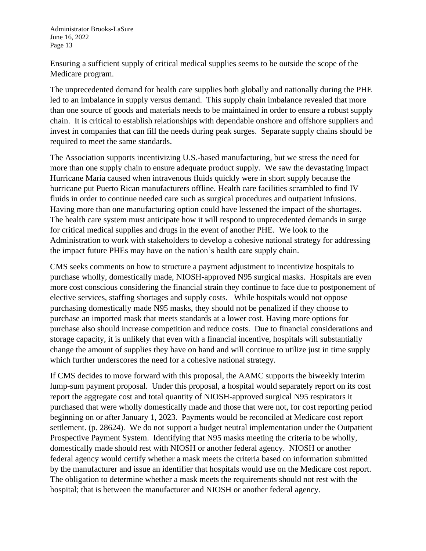Ensuring a sufficient supply of critical medical supplies seems to be outside the scope of the Medicare program.

The unprecedented demand for health care supplies both globally and nationally during the PHE led to an imbalance in supply versus demand. This supply chain imbalance revealed that more than one source of goods and materials needs to be maintained in order to ensure a robust supply chain. It is critical to establish relationships with dependable onshore and offshore suppliers and invest in companies that can fill the needs during peak surges. Separate supply chains should be required to meet the same standards.

The Association supports incentivizing U.S.-based manufacturing, but we stress the need for more than one supply chain to ensure adequate product supply. We saw the devastating impact Hurricane Maria caused when intravenous fluids quickly were in short supply because the hurricane put Puerto Rican manufacturers offline. Health care facilities scrambled to find IV fluids in order to continue needed care such as surgical procedures and outpatient infusions. Having more than one manufacturing option could have lessened the impact of the shortages. The health care system must anticipate how it will respond to unprecedented demands in surge for critical medical supplies and drugs in the event of another PHE. We look to the Administration to work with stakeholders to develop a cohesive national strategy for addressing the impact future PHEs may have on the nation's health care supply chain.

CMS seeks comments on how to structure a payment adjustment to incentivize hospitals to purchase wholly, domestically made, NIOSH-approved N95 surgical masks. Hospitals are even more cost conscious considering the financial strain they continue to face due to postponement of elective services, staffing shortages and supply costs. While hospitals would not oppose purchasing domestically made N95 masks, they should not be penalized if they choose to purchase an imported mask that meets standards at a lower cost. Having more options for purchase also should increase competition and reduce costs. Due to financial considerations and storage capacity, it is unlikely that even with a financial incentive, hospitals will substantially change the amount of supplies they have on hand and will continue to utilize just in time supply which further underscores the need for a cohesive national strategy.

If CMS decides to move forward with this proposal, the AAMC supports the biweekly interim lump-sum payment proposal. Under this proposal, a hospital would separately report on its cost report the aggregate cost and total quantity of NIOSH-approved surgical N95 respirators it purchased that were wholly domestically made and those that were not, for cost reporting period beginning on or after January 1, 2023. Payments would be reconciled at Medicare cost report settlement. (p. 28624). We do not support a budget neutral implementation under the Outpatient Prospective Payment System. Identifying that N95 masks meeting the criteria to be wholly, domestically made should rest with NIOSH or another federal agency. NIOSH or another federal agency would certify whether a mask meets the criteria based on information submitted by the manufacturer and issue an identifier that hospitals would use on the Medicare cost report. The obligation to determine whether a mask meets the requirements should not rest with the hospital; that is between the manufacturer and NIOSH or another federal agency.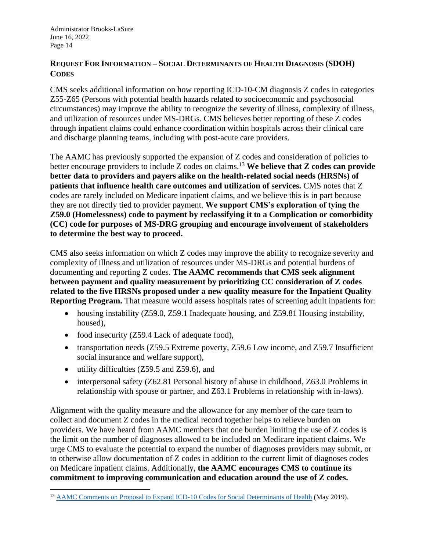#### **REQUEST FOR INFORMATION – SOCIAL DETERMINANTS OF HEALTH DIAGNOSIS (SDOH) CODES**

CMS seeks additional information on how reporting ICD-10-CM diagnosis Z codes in categories Z55-Z65 (Persons with potential health hazards related to socioeconomic and psychosocial circumstances) may improve the ability to recognize the severity of illness, complexity of illness, and utilization of resources under MS-DRGs. CMS believes better reporting of these Z codes through inpatient claims could enhance coordination within hospitals across their clinical care and discharge planning teams, including with post-acute care providers.

The AAMC has previously supported the expansion of Z codes and consideration of policies to better encourage providers to include Z codes on claims.<sup>13</sup> **We believe that Z codes can provide better data to providers and payers alike on the health-related social needs (HRSNs) of patients that influence health care outcomes and utilization of services.** CMS notes that Z codes are rarely included on Medicare inpatient claims, and we believe this is in part because they are not directly tied to provider payment. **We support CMS's exploration of tying the Z59.0 (Homelessness) code to payment by reclassifying it to a Complication or comorbidity (CC) code for purposes of MS-DRG grouping and encourage involvement of stakeholders to determine the best way to proceed.**

CMS also seeks information on which Z codes may improve the ability to recognize severity and complexity of illness and utilization of resources under MS-DRGs and potential burdens of documenting and reporting Z codes. **The AAMC recommends that CMS seek alignment between payment and quality measurement by prioritizing CC consideration of Z codes related to the five HRSNs proposed under a new quality measure for the Inpatient Quality Reporting Program.** That measure would assess hospitals rates of screening adult inpatients for:

- housing instability (Z59.0, Z59.1 Inadequate housing, and Z59.81 Housing instability, housed),
- food insecurity (Z59.4 Lack of adequate food),
- transportation needs (Z59.5 Extreme poverty, Z59.6 Low income, and Z59.7 Insufficient social insurance and welfare support),
- utility difficulties (Z59.5 and Z59.6), and
- interpersonal safety (Z62.81 Personal history of abuse in childhood, Z63.0 Problems in relationship with spouse or partner, and Z63.1 Problems in relationship with in-laws).

Alignment with the quality measure and the allowance for any member of the care team to collect and document Z codes in the medical record together helps to relieve burden on providers. We have heard from AAMC members that one burden limiting the use of Z codes is the limit on the number of diagnoses allowed to be included on Medicare inpatient claims. We urge CMS to evaluate the potential to expand the number of diagnoses providers may submit, or to otherwise allow documentation of Z codes in addition to the current limit of diagnoses codes on Medicare inpatient claims. Additionally, **the AAMC encourages CMS to continue its commitment to improving communication and education around the use of Z codes.**

<sup>&</sup>lt;sup>13</sup> [AAMC Comments on Proposal to Expand ICD-10 Codes for Social Determinants of Health](https://www.aamc.org/media/11751/download) (May 2019).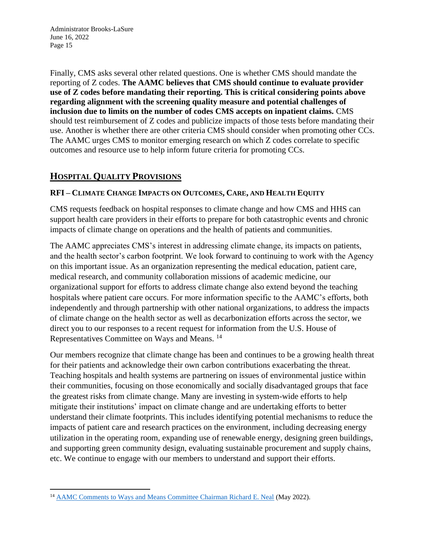Finally, CMS asks several other related questions. One is whether CMS should mandate the reporting of Z codes. **The AAMC believes that CMS should continue to evaluate provider use of Z codes before mandating their reporting. This is critical considering points above regarding alignment with the screening quality measure and potential challenges of inclusion due to limits on the number of codes CMS accepts on inpatient claims.** CMS should test reimbursement of Z codes and publicize impacts of those tests before mandating their use. Another is whether there are other criteria CMS should consider when promoting other CCs. The AAMC urges CMS to monitor emerging research on which Z codes correlate to specific outcomes and resource use to help inform future criteria for promoting CCs.

# **HOSPITAL QUALITY PROVISIONS**

# **RFI – CLIMATE CHANGE IMPACTS ON OUTCOMES, CARE, AND HEALTH EQUITY**

CMS requests feedback on hospital responses to climate change and how CMS and HHS can support health care providers in their efforts to prepare for both catastrophic events and chronic impacts of climate change on operations and the health of patients and communities.

The AAMC appreciates CMS's interest in addressing climate change, its impacts on patients, and the health sector's carbon footprint. We look forward to continuing to work with the Agency on this important issue. As an organization representing the medical education, patient care, medical research, and community collaboration missions of academic medicine, our organizational support for efforts to address climate change also extend beyond the teaching hospitals where patient care occurs. For more information specific to the AAMC's efforts, both independently and through partnership with other national organizations, to address the impacts of climate change on the health sector as well as decarbonization efforts across the sector, we direct you to our responses to a recent request for information from the U.S. House of Representatives Committee on Ways and Means. <sup>14</sup>

Our members recognize that climate change has been and continues to be a growing health threat for their patients and acknowledge their own carbon contributions exacerbating the threat. Teaching hospitals and health systems are partnering on issues of environmental justice within their communities, focusing on those economically and socially disadvantaged groups that face the greatest risks from climate change. Many are investing in system-wide efforts to help mitigate their institutions' impact on climate change and are undertaking efforts to better understand their climate footprints. This includes identifying potential mechanisms to reduce the impacts of patient care and research practices on the environment, including decreasing energy utilization in the operating room, expanding use of renewable energy, designing green buildings, and supporting green community design, evaluating sustainable procurement and supply chains, etc. We continue to engage with our members to understand and support their efforts.

<sup>&</sup>lt;sup>14</sup> [AAMC Comments to Ways and Means Committee Chairman Richard E. Neal](https://www.aamc.org/media/60776/download?attachment) (May 2022).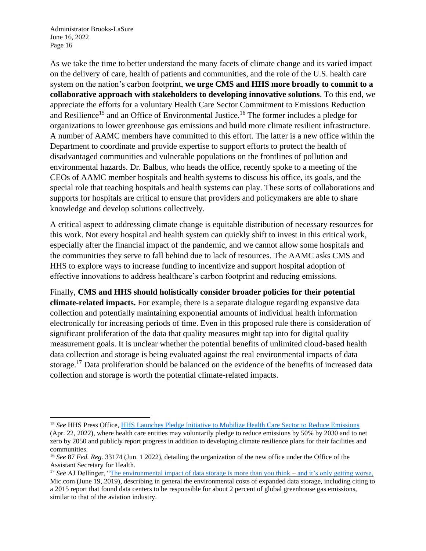As we take the time to better understand the many facets of climate change and its varied impact on the delivery of care, health of patients and communities, and the role of the U.S. health care system on the nation's carbon footprint, **we urge CMS and HHS more broadly to commit to a collaborative approach with stakeholders to developing innovative solutions**. To this end, we appreciate the efforts for a voluntary Health Care Sector Commitment to Emissions Reduction and Resilience<sup>15</sup> and an Office of Environmental Justice.<sup>16</sup> The former includes a pledge for organizations to lower greenhouse gas emissions and build more climate resilient infrastructure. A number of AAMC members have committed to this effort. The latter is a new office within the Department to coordinate and provide expertise to support efforts to protect the health of disadvantaged communities and vulnerable populations on the frontlines of pollution and environmental hazards. Dr. Balbus, who heads the office, recently spoke to a meeting of the CEOs of AAMC member hospitals and health systems to discuss his office, its goals, and the special role that teaching hospitals and health systems can play. These sorts of collaborations and supports for hospitals are critical to ensure that providers and policymakers are able to share knowledge and develop solutions collectively.

A critical aspect to addressing climate change is equitable distribution of necessary resources for this work. Not every hospital and health system can quickly shift to invest in this critical work, especially after the financial impact of the pandemic, and we cannot allow some hospitals and the communities they serve to fall behind due to lack of resources. The AAMC asks CMS and HHS to explore ways to increase funding to incentivize and support hospital adoption of effective innovations to address healthcare's carbon footprint and reducing emissions.

Finally, **CMS and HHS should holistically consider broader policies for their potential climate-related impacts.** For example, there is a separate dialogue regarding expansive data collection and potentially maintaining exponential amounts of individual health information electronically for increasing periods of time. Even in this proposed rule there is consideration of significant proliferation of the data that quality measures might tap into for digital quality measurement goals. It is unclear whether the potential benefits of unlimited cloud-based health data collection and storage is being evaluated against the real environmental impacts of data storage.<sup>17</sup> Data proliferation should be balanced on the evidence of the benefits of increased data collection and storage is worth the potential climate-related impacts.

<sup>15</sup> *See* HHS Press Office, [HHS Launches Pledge Initiative to Mobilize Health Care Sector to Reduce Emissions](https://www.hhs.gov/about/news/2022/04/22/hhs-launches-pledge-initiative-mobilize-health-care-sector-reduce-emissions.html) (Apr. 22, 2022), where health care entities may voluntarily pledge to reduce emissions by 50% by 2030 and to net zero by 2050 and publicly report progress in addition to developing climate resilience plans for their facilities and communities.

<sup>16</sup> *See* 87 *Fed. Reg.* 33174 (Jun. 1 2022), detailing the organization of the new office under the Office of the Assistant Secretary for Health.

<sup>&</sup>lt;sup>17</sup> See AJ Dellinger, ["The environmental impact of data storage is more than you think –](https://www.mic.com/p/the-environmental-impact-of-data-storage-is-more-than-you-think-its-only-getting-worse-18017662) and it's only getting worse, Mic.com (June 19, 2019), describing in general the environmental costs of expanded data storage, including citing to a 2015 report that found data centers to be responsible for about 2 percent of global greenhouse gas emissions, similar to that of the aviation industry.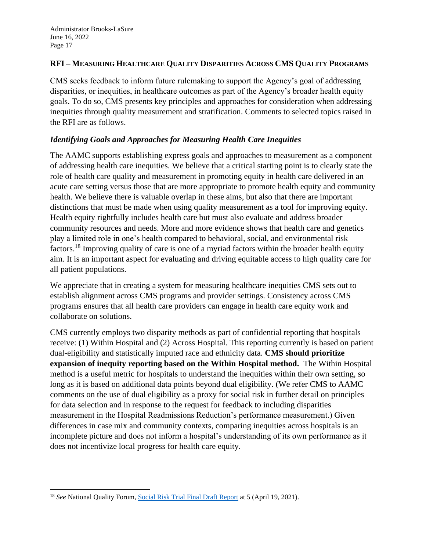#### **RFI – MEASURING HEALTHCARE QUALITY DISPARITIES ACROSS CMS QUALITY PROGRAMS**

CMS seeks feedback to inform future rulemaking to support the Agency's goal of addressing disparities, or inequities, in healthcare outcomes as part of the Agency's broader health equity goals. To do so, CMS presents key principles and approaches for consideration when addressing inequities through quality measurement and stratification. Comments to selected topics raised in the RFI are as follows.

## *Identifying Goals and Approaches for Measuring Health Care Inequities*

The AAMC supports establishing express goals and approaches to measurement as a component of addressing health care inequities. We believe that a critical starting point is to clearly state the role of health care quality and measurement in promoting equity in health care delivered in an acute care setting versus those that are more appropriate to promote health equity and community health. We believe there is valuable overlap in these aims, but also that there are important distinctions that must be made when using quality measurement as a tool for improving equity. Health equity rightfully includes health care but must also evaluate and address broader community resources and needs. More and more evidence shows that health care and genetics play a limited role in one's health compared to behavioral, social, and environmental risk factors.<sup>18</sup> Improving quality of care is one of a myriad factors within the broader health equity aim. It is an important aspect for evaluating and driving equitable access to high quality care for all patient populations.

We appreciate that in creating a system for measuring healthcare inequities CMS sets out to establish alignment across CMS programs and provider settings. Consistency across CMS programs ensures that all health care providers can engage in health care equity work and collaborate on solutions.

CMS currently employs two disparity methods as part of confidential reporting that hospitals receive: (1) Within Hospital and (2) Across Hospital. This reporting currently is based on patient dual-eligibility and statistically imputed race and ethnicity data. **CMS should prioritize expansion of inequity reporting based on the Within Hospital method.** The Within Hospital method is a useful metric for hospitals to understand the inequities within their own setting, so long as it is based on additional data points beyond dual eligibility. (We refer CMS to AAMC comments on the use of dual eligibility as a proxy for social risk in further detail on principles for data selection and in response to the request for feedback to including disparities measurement in the Hospital Readmissions Reduction's performance measurement.) Given differences in case mix and community contexts, comparing inequities across hospitals is an incomplete picture and does not inform a hospital's understanding of its own performance as it does not incentivize local progress for health care equity.

<sup>&</sup>lt;sup>18</sup> *See* National Quality Forum, *Social Risk Trial Final Draft Report at* 5 (April 19, 2021).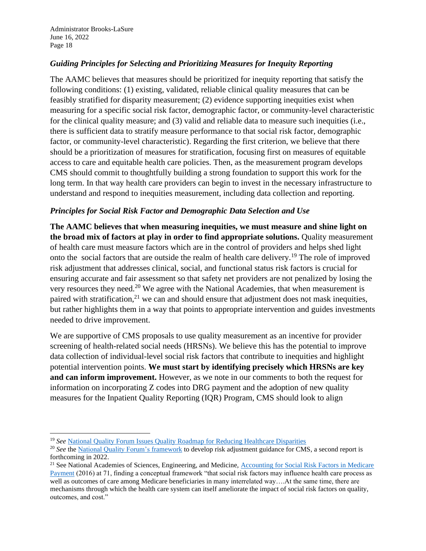## *Guiding Principles for Selecting and Prioritizing Measures for Inequity Reporting*

The AAMC believes that measures should be prioritized for inequity reporting that satisfy the following conditions: (1) existing, validated, reliable clinical quality measures that can be feasibly stratified for disparity measurement; (2) evidence supporting inequities exist when measuring for a specific social risk factor, demographic factor, or community-level characteristic for the clinical quality measure; and (3) valid and reliable data to measure such inequities (i.e., there is sufficient data to stratify measure performance to that social risk factor, demographic factor, or community-level characteristic). Regarding the first criterion, we believe that there should be a prioritization of measures for stratification, focusing first on measures of equitable access to care and equitable health care policies. Then, as the measurement program develops CMS should commit to thoughtfully building a strong foundation to support this work for the long term. In that way health care providers can begin to invest in the necessary infrastructure to understand and respond to inequities measurement, including data collection and reporting.

## *Principles for Social Risk Factor and Demographic Data Selection and Use*

**The AAMC believes that when measuring inequities, we must measure and shine light on the broad mix of factors at play in order to find appropriate solutions.** Quality measurement of health care must measure factors which are in the control of providers and helps shed light onto the social factors that are outside the realm of health care delivery.<sup>19</sup> The role of improved risk adjustment that addresses clinical, social, and functional status risk factors is crucial for ensuring accurate and fair assessment so that safety net providers are not penalized by losing the very resources they need.<sup>20</sup> We agree with the National Academies, that when measurement is paired with stratification, $21$  we can and should ensure that adjustment does not mask inequities, but rather highlights them in a way that points to appropriate intervention and guides investments needed to drive improvement.

We are supportive of CMS proposals to use quality measurement as an incentive for provider screening of health-related social needs (HRSNs). We believe this has the potential to improve data collection of individual-level social risk factors that contribute to inequities and highlight potential intervention points. **We must start by identifying precisely which HRSNs are key and can inform improvement.** However, as we note in our comments to both the request for information on incorporating Z codes into DRG payment and the adoption of new quality measures for the Inpatient Quality Reporting (IQR) Program, CMS should look to align

<sup>19</sup> *See* [National Quality Forum Issues Quality Roadmap for Reducing Healthcare Disparities](https://www.qualityforum.org/NQFs_Roadmap_to_Health_Equity.aspx)

<sup>&</sup>lt;sup>20</sup> See the [National Quality Forum's framework](https://www.qualityforum.org/Risk_Adjustment_Guidance.aspx) to develop risk adjustment guidance for CMS, a second report is forthcoming in 2022.

<sup>&</sup>lt;sup>21</sup> See National Academies of Sciences, Engineering, and Medicine, Accounting for Social Risk Factors in Medicare [Payment](https://nap.nationalacademies.org/catalog/21858/accounting-for-social-risk-factors-in-medicare-payment-identifying-social) (2016) at 71, finding a conceptual framework "that social risk factors may influence health care process as well as outcomes of care among Medicare beneficiaries in many interrelated way....At the same time, there are mechanisms through which the health care system can itself ameliorate the impact of social risk factors on quality, outcomes, and cost."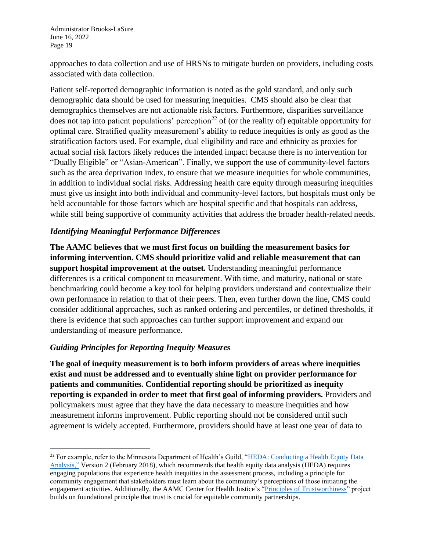approaches to data collection and use of HRSNs to mitigate burden on providers, including costs associated with data collection.

Patient self-reported demographic information is noted as the gold standard, and only such demographic data should be used for measuring inequities. CMS should also be clear that demographics themselves are not actionable risk factors. Furthermore, disparities surveillance does not tap into patient populations' perception<sup>22</sup> of (or the reality of) equitable opportunity for optimal care. Stratified quality measurement's ability to reduce inequities is only as good as the stratification factors used. For example, dual eligibility and race and ethnicity as proxies for actual social risk factors likely reduces the intended impact because there is no intervention for "Dually Eligible" or "Asian-American". Finally, we support the use of community-level factors such as the area deprivation index, to ensure that we measure inequities for whole communities, in addition to individual social risks. Addressing health care equity through measuring inequities must give us insight into both individual and community-level factors, but hospitals must only be held accountable for those factors which are hospital specific and that hospitals can address, while still being supportive of community activities that address the broader health-related needs.

#### *Identifying Meaningful Performance Differences*

**The AAMC believes that we must first focus on building the measurement basics for informing intervention. CMS should prioritize valid and reliable measurement that can support hospital improvement at the outset.** Understanding meaningful performance differences is a critical component to measurement. With time, and maturity, national or state benchmarking could become a key tool for helping providers understand and contextualize their own performance in relation to that of their peers. Then, even further down the line, CMS could consider additional approaches, such as ranked ordering and percentiles, or defined thresholds, if there is evidence that such approaches can further support improvement and expand our understanding of measure performance.

#### *Guiding Principles for Reporting Inequity Measures*

**The goal of inequity measurement is to both inform providers of areas where inequities exist and must be addressed and to eventually shine light on provider performance for patients and communities. Confidential reporting should be prioritized as inequity reporting is expanded in order to meet that first goal of informing providers.** Providers and policymakers must agree that they have the data necessary to measure inequities and how measurement informs improvement. Public reporting should not be considered until such agreement is widely accepted. Furthermore, providers should have at least one year of data to

<sup>&</sup>lt;sup>22</sup> For example, refer to the Minnesota Department of Health's Guild, "HEDA: Conducting a Health Equity Data [Analysis,"](https://www.health.state.mn.us/data/mchs/genstats/heda/healthequitydataguideV2.0-final.pdf) Version 2 (February 2018), which recommends that health equity data analysis (HEDA) requires engaging populations that experience health inequities in the assessment process, including a principle for community engagement that stakeholders must learn about the community's perceptions of those initiating the engagement activities. Additionally, the AAMC Center for Health Justice's ["Principles of Trustworthiness"](https://www.aamchealthjustice.org/resources/trustworthiness-toolkit#principles) project builds on foundational principle that trust is crucial for equitable community partnerships.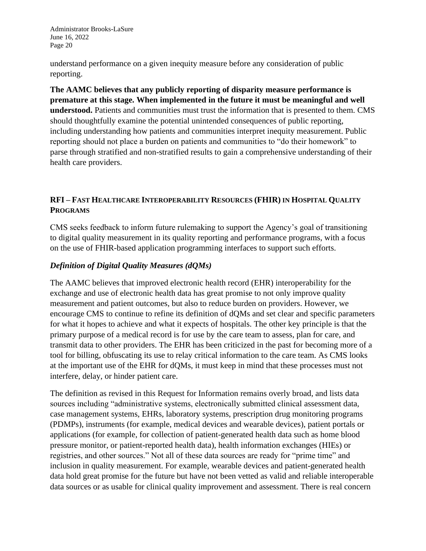understand performance on a given inequity measure before any consideration of public reporting.

**The AAMC believes that any publicly reporting of disparity measure performance is premature at this stage. When implemented in the future it must be meaningful and well understood.** Patients and communities must trust the information that is presented to them. CMS should thoughtfully examine the potential unintended consequences of public reporting, including understanding how patients and communities interpret inequity measurement. Public reporting should not place a burden on patients and communities to "do their homework" to parse through stratified and non-stratified results to gain a comprehensive understanding of their health care providers.

# **RFI – FAST HEALTHCARE INTEROPERABILITY RESOURCES (FHIR) IN HOSPITAL QUALITY PROGRAMS**

CMS seeks feedback to inform future rulemaking to support the Agency's goal of transitioning to digital quality measurement in its quality reporting and performance programs, with a focus on the use of FHIR-based application programming interfaces to support such efforts.

## *Definition of Digital Quality Measures (dQMs)*

The AAMC believes that improved electronic health record (EHR) interoperability for the exchange and use of electronic health data has great promise to not only improve quality measurement and patient outcomes, but also to reduce burden on providers. However, we encourage CMS to continue to refine its definition of dQMs and set clear and specific parameters for what it hopes to achieve and what it expects of hospitals. The other key principle is that the primary purpose of a medical record is for use by the care team to assess, plan for care, and transmit data to other providers. The EHR has been criticized in the past for becoming more of a tool for billing, obfuscating its use to relay critical information to the care team. As CMS looks at the important use of the EHR for dQMs, it must keep in mind that these processes must not interfere, delay, or hinder patient care.

The definition as revised in this Request for Information remains overly broad, and lists data sources including "administrative systems, electronically submitted clinical assessment data, case management systems, EHRs, laboratory systems, prescription drug monitoring programs (PDMPs), instruments (for example, medical devices and wearable devices), patient portals or applications (for example, for collection of patient-generated health data such as home blood pressure monitor, or patient-reported health data), health information exchanges (HIEs) or registries, and other sources." Not all of these data sources are ready for "prime time" and inclusion in quality measurement. For example, wearable devices and patient-generated health data hold great promise for the future but have not been vetted as valid and reliable interoperable data sources or as usable for clinical quality improvement and assessment. There is real concern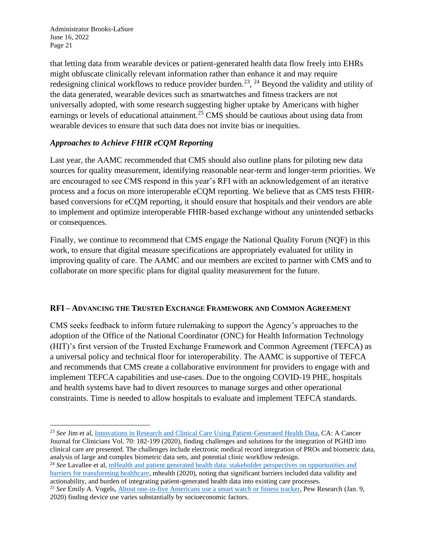that letting data from wearable devices or patient-generated health data flow freely into EHRs might obfuscate clinically relevant information rather than enhance it and may require redesigning clinical workflows to reduce provider burden.<sup>23</sup>, <sup>24</sup> Beyond the validity and utility of the data generated, wearable devices such as smartwatches and fitness trackers are not universally adopted, with some research suggesting higher uptake by Americans with higher earnings or levels of educational attainment.<sup>25</sup> CMS should be cautious about using data from wearable devices to ensure that such data does not invite bias or inequities.

## *Approaches to Achieve FHIR eCQM Reporting*

Last year, the AAMC recommended that CMS should also outline plans for piloting new data sources for quality measurement, identifying reasonable near-term and longer-term priorities. We are encouraged to see CMS respond in this year's RFI with an acknowledgement of an iterative process and a focus on more interoperable eCQM reporting. We believe that as CMS tests FHIRbased conversions for eCQM reporting, it should ensure that hospitals and their vendors are able to implement and optimize interoperable FHIR-based exchange without any unintended setbacks or consequences.

Finally, we continue to recommend that CMS engage the National Quality Forum (NQF) in this work, to ensure that digital measure specifications are appropriately evaluated for utility in improving quality of care. The AAMC and our members are excited to partner with CMS and to collaborate on more specific plans for digital quality measurement for the future.

#### **RFI – ADVANCING THE TRUSTED EXCHANGE FRAMEWORK AND COMMON AGREEMENT**

CMS seeks feedback to inform future rulemaking to support the Agency's approaches to the adoption of the Office of the National Coordinator (ONC) for Health Information Technology (HIT)'s first version of the Trusted Exchange Framework and Common Agreement (TEFCA) as a universal policy and technical floor for interoperability. The AAMC is supportive of TEFCA and recommends that CMS create a collaborative environment for providers to engage with and implement TEFCA capabilities and use-cases. Due to the ongoing COVID-19 PHE, hospitals and health systems have had to divert resources to manage surges and other operational constraints. Time is needed to allow hospitals to evaluate and implement TEFCA standards.

<sup>&</sup>lt;sup>23</sup> See Jim et al, [Innovations in Research and Clinical Care Using Patient-Generated Health Data,](https://acsjournals.onlinelibrary.wiley.com/doi/pdfdirect/10.3322/caac.21608) CA: A Cancer Journal for Clinicians Vol. 70: 182-199 (2020), finding challenges and solutions for the integration of PGHD into clinical care are presented. The challenges include electronic medical record integration of PROs and biometric data, analysis of large and complex biometric data sets, and potential clinic workflow redesign.

<sup>&</sup>lt;sup>24</sup> *See* Lavallee et al, mHealth and patient generated health data: stakeholder perspectives on opportunities and [barriers for transforming healthcare,](https://www.ncbi.nlm.nih.gov/pmc/articles/PMC7063266/) mhealth (2020), noting that significant barriers included data validity and actionability, and burden of integrating patient-generated health data into existing care processes.

<sup>&</sup>lt;sup>25</sup> See Emily A. Vogels, [About one-in-five Americans use a smart watch or fitness tracker,](https://www.pewresearch.org/fact-tank/2020/01/09/about-one-in-five-americans-use-a-smart-watch-or-fitness-tracker/) Pew Research (Jan. 9, 2020) finding device use varies substantially by socioeconomic factors.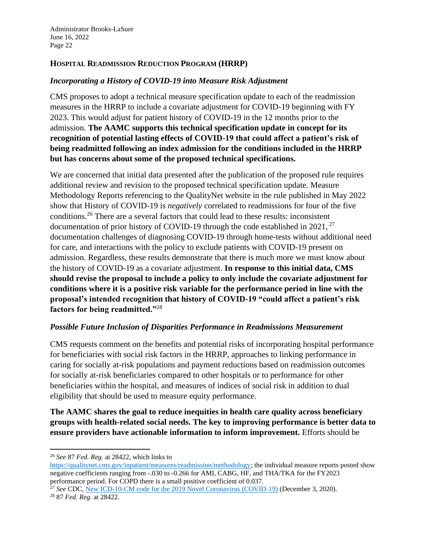#### **HOSPITAL READMISSION REDUCTION PROGRAM (HRRP)**

#### *Incorporating a History of COVID-19 into Measure Risk Adjustment*

CMS proposes to adopt a technical measure specification update to each of the readmission measures in the HRRP to include a covariate adjustment for COVID-19 beginning with FY 2023. This would adjust for patient history of COVID-19 in the 12 months prior to the admission. **The AAMC supports this technical specification update in concept for its recognition of potential lasting effects of COVID-19 that could affect a patient's risk of being readmitted following an index admission for the conditions included in the HRRP but has concerns about some of the proposed technical specifications.** 

We are concerned that initial data presented after the publication of the proposed rule requires additional review and revision to the proposed technical specification update. Measure Methodology Reports referencing to the QualityNet website in the rule published in May 2022 show that History of COVID-19 is *negatively* correlated to readmissions for four of the five conditions.<sup>26</sup> There are a several factors that could lead to these results: inconsistent documentation of prior history of COVID-19 through the code established in 2021,  $^{27}$ documentation challenges of diagnosing COVID-19 through home-tests without additional need for care, and interactions with the policy to exclude patients with COVID-19 present on admission. Regardless, these results demonstrate that there is much more we must know about the history of COVID-19 as a covariate adjustment. **In response to this initial data, CMS should revise the proposal to include a policy to only include the covariate adjustment for conditions where it is a positive risk variable for the performance period in line with the proposal's intended recognition that history of COVID-19 "could affect a patient's risk factors for being readmitted."**<sup>28</sup>

#### *Possible Future Inclusion of Disparities Performance in Readmissions Measurement*

CMS requests comment on the benefits and potential risks of incorporating hospital performance for beneficiaries with social risk factors in the HRRP, approaches to linking performance in caring for socially at-risk populations and payment reductions based on readmission outcomes for socially at-risk beneficiaries compared to other hospitals or to performance for other beneficiaries within the hospital, and measures of indices of social risk in addition to dual eligibility that should be used to measure equity performance.

**The AAMC shares the goal to reduce inequities in health care quality across beneficiary groups with health-related social needs. The key to improving performance is better data to ensure providers have actionable information to inform improvement.** Efforts should be

<sup>26</sup> *See* 87 *Fed. Reg.* at 28422, which links to

[https://qualitynet.cms.gov/inpatient/measures/readmission/methodology;](https://qualitynet.cms.gov/inpatient/measures/readmission/methodology) the individual measure reports posted show negative coefficients ranging from -.030 to -0.266 for AMI, CABG, HF, and THA/TKA for the FY2023 performance period. For COPD there is a small positive coefficient of 0.037.

<sup>27</sup> *See* CDC, [New ICD-10-CM code for the 2019 Novel Coronavirus \(COVID-19\)](https://www.cdc.gov/nchs/data/icd/Announcement-New-ICD-code-for-coronavirus-19-508.pdf) (December 3, 2020). <sup>28</sup> 87 *Fed. Reg.* at 28422.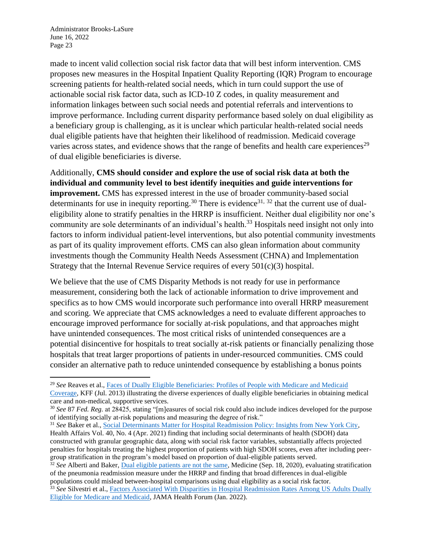made to incent valid collection social risk factor data that will best inform intervention. CMS proposes new measures in the Hospital Inpatient Quality Reporting (IQR) Program to encourage screening patients for health-related social needs, which in turn could support the use of actionable social risk factor data, such as ICD-10 Z codes, in quality measurement and information linkages between such social needs and potential referrals and interventions to improve performance. Including current disparity performance based solely on dual eligibility as a beneficiary group is challenging, as it is unclear which particular health-related social needs dual eligible patients have that heighten their likelihood of readmission. Medicaid coverage varies across states, and evidence shows that the range of benefits and health care experiences<sup>29</sup> of dual eligible beneficiaries is diverse.

Additionally, **CMS should consider and explore the use of social risk data at both the individual and community level to best identify inequities and guide interventions for improvement.** CMS has expressed interest in the use of broader community-based social determinants for use in inequity reporting.<sup>30</sup> There is evidence<sup>31, 32</sup> that the current use of dualeligibility alone to stratify penalties in the HRRP is insufficient. Neither dual eligibility nor one's community are sole determinants of an individual's health.<sup>33</sup> Hospitals need insight not only into factors to inform individual patient-level interventions, but also potential community investments as part of its quality improvement efforts. CMS can also glean information about community investments though the Community Health Needs Assessment (CHNA) and Implementation Strategy that the Internal Revenue Service requires of every 501(c)(3) hospital.

We believe that the use of CMS Disparity Methods is not ready for use in performance measurement, considering both the lack of actionable information to drive improvement and specifics as to how CMS would incorporate such performance into overall HRRP measurement and scoring. We appreciate that CMS acknowledges a need to evaluate different approaches to encourage improved performance for socially at-risk populations, and that approaches might have unintended consequences. The most critical risks of unintended consequences are a potential disincentive for hospitals to treat socially at-risk patients or financially penalizing those hospitals that treat larger proportions of patients in under-resourced communities. CMS could consider an alternative path to reduce unintended consequence by establishing a bonus points

<sup>29</sup> *See* Reaves et al., [Faces of Dually Eligible Beneficiaries: Profiles of People with Medicare and Medicaid](https://www.kff.org/medicaid/issue-brief/faces-of-dually-eligible-beneficiaries-profiles-of-people-with-medicare-and-medicaid-coverage/)  [Coverage,](https://www.kff.org/medicaid/issue-brief/faces-of-dually-eligible-beneficiaries-profiles-of-people-with-medicare-and-medicaid-coverage/) KFF (Jul. 2013) illustrating the diverse experiences of dually eligible beneficiaries in obtaining medical care and non-medical, supportive services.

<sup>30</sup> *See* 87 *Fed. Reg.* at 28425, stating "[m]easures of social risk could also include indices developed for the purpose of identifying socially at-risk populations and measuring the degree of risk."

<sup>31</sup> *See* Baker et al., [Social Determinants Matter for Hospital Readmission Policy: Insights from New York City,](https://www.healthaffairs.org/doi/abs/10.1377/hlthaff.2020.01742) Health Affairs Vol. 40, No. 4 (Apr. 2021) finding that including social determinants of health (SDOH) data constructed with granular geographic data, along with social risk factor variables, substantially affects projected penalties for hospitals treating the highest proportion of patients with high SDOH scores, even after including peergroup stratification in the program's model based on proportion of dual-eligible patients served.

<sup>32</sup> *See* Alberti and Baker, [Dual eligible patients are not the same,](https://journals.lww.com/md-journal/Fulltext/2020/09180/Dual_eligible_patients_are_not_the_same__How.68.aspx) Medicine (Sep. 18, 2020), evaluating stratification of the pneumonia readmission measure under the HRRP and finding that broad differences in dual-eligible populations could mislead between-hospital comparisons using dual eligibility as a social risk factor.

<sup>33</sup> *See* Silvestri et al.[, Factors Associated With Disparities in Hospital Readmission Rates Among US Adults Dually](https://jamanetwork.com/journals/jama-health-forum/fullarticle/2788515)  [Eligible for Medicare and Medicaid,](https://jamanetwork.com/journals/jama-health-forum/fullarticle/2788515) JAMA Health Forum (Jan. 2022).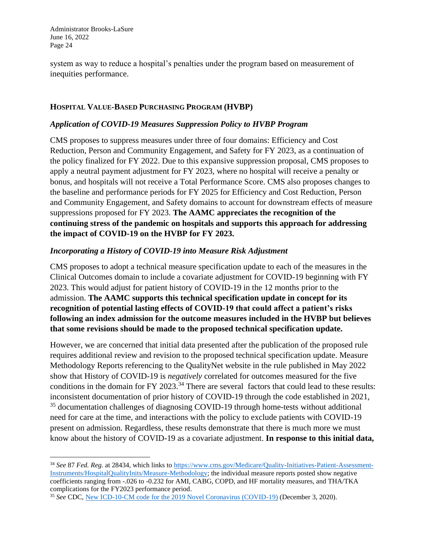system as way to reduce a hospital's penalties under the program based on measurement of inequities performance.

#### **HOSPITAL VALUE-BASED PURCHASING PROGRAM (HVBP)**

#### *Application of COVID-19 Measures Suppression Policy to HVBP Program*

CMS proposes to suppress measures under three of four domains: Efficiency and Cost Reduction, Person and Community Engagement, and Safety for FY 2023, as a continuation of the policy finalized for FY 2022. Due to this expansive suppression proposal, CMS proposes to apply a neutral payment adjustment for FY 2023, where no hospital will receive a penalty or bonus, and hospitals will not receive a Total Performance Score. CMS also proposes changes to the baseline and performance periods for FY 2025 for Efficiency and Cost Reduction, Person and Community Engagement, and Safety domains to account for downstream effects of measure suppressions proposed for FY 2023. **The AAMC appreciates the recognition of the continuing stress of the pandemic on hospitals and supports this approach for addressing the impact of COVID-19 on the HVBP for FY 2023.**

#### *Incorporating a History of COVID-19 into Measure Risk Adjustment*

CMS proposes to adopt a technical measure specification update to each of the measures in the Clinical Outcomes domain to include a covariate adjustment for COVID-19 beginning with FY 2023. This would adjust for patient history of COVID-19 in the 12 months prior to the admission. **The AAMC supports this technical specification update in concept for its recognition of potential lasting effects of COVID-19 that could affect a patient's risks following an index admission for the outcome measures included in the HVBP but believes that some revisions should be made to the proposed technical specification update.** 

However, we are concerned that initial data presented after the publication of the proposed rule requires additional review and revision to the proposed technical specification update. Measure Methodology Reports referencing to the QualityNet website in the rule published in May 2022 show that History of COVID-19 is *negatively* correlated for outcomes measured for the five conditions in the domain for FY 2023.<sup>34</sup> There are several factors that could lead to these results: inconsistent documentation of prior history of COVID-19 through the code established in 2021, <sup>35</sup> documentation challenges of diagnosing COVID-19 through home-tests without additional need for care at the time, and interactions with the policy to exclude patients with COVID-19 present on admission. Regardless, these results demonstrate that there is much more we must know about the history of COVID-19 as a covariate adjustment. **In response to this initial data,**

<sup>34</sup> *See* 87 *Fed. Reg.* at 28434, which links to [https://www.cms.gov/Medicare/Quality-Initiatives-Patient-Assessment-](https://www.cms.gov/Medicare/Quality-Initiatives-Patient-Assessment-Instruments/HospitalQualityInits/Measure-Methodology)[Instruments/HospitalQualityInits/Measure-Methodology;](https://www.cms.gov/Medicare/Quality-Initiatives-Patient-Assessment-Instruments/HospitalQualityInits/Measure-Methodology) the individual measure reports posted show negative coefficients ranging from -.026 to -0.232 for AMI, CABG, COPD, and HF mortality measures, and THA/TKA complications for the FY2023 performance period.

<sup>&</sup>lt;sup>35</sup> See CDC, [New ICD-10-CM code for the 2019 Novel Coronavirus \(COVID-19\)](https://www.cdc.gov/nchs/data/icd/Announcement-New-ICD-code-for-coronavirus-19-508.pdf) (December 3, 2020).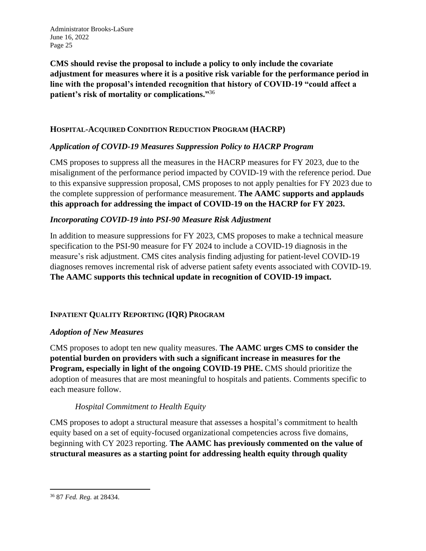**CMS should revise the proposal to include a policy to only include the covariate adjustment for measures where it is a positive risk variable for the performance period in line with the proposal's intended recognition that history of COVID-19 "could affect a patient's risk of mortality or complications."**<sup>36</sup>

## **HOSPITAL-ACQUIRED CONDITION REDUCTION PROGRAM (HACRP)**

## *Application of COVID-19 Measures Suppression Policy to HACRP Program*

CMS proposes to suppress all the measures in the HACRP measures for FY 2023, due to the misalignment of the performance period impacted by COVID-19 with the reference period. Due to this expansive suppression proposal, CMS proposes to not apply penalties for FY 2023 due to the complete suppression of performance measurement. **The AAMC supports and applauds this approach for addressing the impact of COVID-19 on the HACRP for FY 2023.**

#### *Incorporating COVID-19 into PSI-90 Measure Risk Adjustment*

In addition to measure suppressions for FY 2023, CMS proposes to make a technical measure specification to the PSI-90 measure for FY 2024 to include a COVID-19 diagnosis in the measure's risk adjustment. CMS cites analysis finding adjusting for patient-level COVID-19 diagnoses removes incremental risk of adverse patient safety events associated with COVID-19. **The AAMC supports this technical update in recognition of COVID-19 impact.**

#### **INPATIENT QUALITY REPORTING (IQR) PROGRAM**

#### *Adoption of New Measures*

CMS proposes to adopt ten new quality measures. **The AAMC urges CMS to consider the potential burden on providers with such a significant increase in measures for the Program, especially in light of the ongoing COVID-19 PHE.** CMS should prioritize the adoption of measures that are most meaningful to hospitals and patients. Comments specific to each measure follow.

#### *Hospital Commitment to Health Equity*

CMS proposes to adopt a structural measure that assesses a hospital's commitment to health equity based on a set of equity-focused organizational competencies across five domains, beginning with CY 2023 reporting. **The AAMC has previously commented on the value of structural measures as a starting point for addressing health equity through quality** 

<sup>36</sup> 87 *Fed. Reg.* at 28434.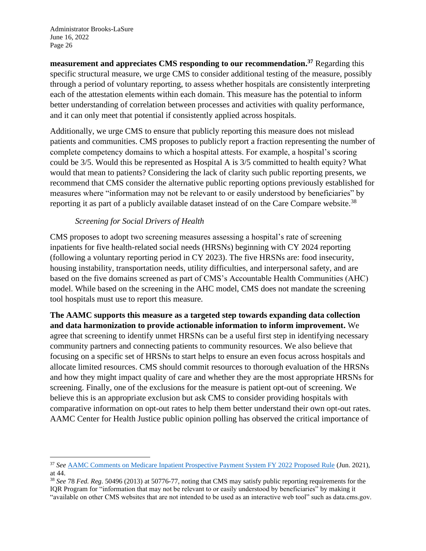**measurement and appreciates CMS responding to our recommendation. <sup>37</sup>** Regarding this specific structural measure, we urge CMS to consider additional testing of the measure, possibly through a period of voluntary reporting, to assess whether hospitals are consistently interpreting each of the attestation elements within each domain. This measure has the potential to inform better understanding of correlation between processes and activities with quality performance, and it can only meet that potential if consistently applied across hospitals.

Additionally, we urge CMS to ensure that publicly reporting this measure does not mislead patients and communities. CMS proposes to publicly report a fraction representing the number of complete competency domains to which a hospital attests. For example, a hospital's scoring could be 3/5. Would this be represented as Hospital A is 3/5 committed to health equity? What would that mean to patients? Considering the lack of clarity such public reporting presents, we recommend that CMS consider the alternative public reporting options previously established for measures where "information may not be relevant to or easily understood by beneficiaries" by reporting it as part of a publicly available dataset instead of on the Care Compare website.<sup>38</sup>

#### *Screening for Social Drivers of Health*

CMS proposes to adopt two screening measures assessing a hospital's rate of screening inpatients for five health-related social needs (HRSNs) beginning with CY 2024 reporting (following a voluntary reporting period in CY 2023). The five HRSNs are: food insecurity, housing instability, transportation needs, utility difficulties, and interpersonal safety, and are based on the five domains screened as part of CMS's Accountable Health Communities (AHC) model. While based on the screening in the AHC model, CMS does not mandate the screening tool hospitals must use to report this measure.

**The AAMC supports this measure as a targeted step towards expanding data collection and data harmonization to provide actionable information to inform improvement.** We agree that screening to identify unmet HRSNs can be a useful first step in identifying necessary community partners and connecting patients to community resources. We also believe that focusing on a specific set of HRSNs to start helps to ensure an even focus across hospitals and allocate limited resources. CMS should commit resources to thorough evaluation of the HRSNs and how they might impact quality of care and whether they are the most appropriate HRSNs for screening. Finally, one of the exclusions for the measure is patient opt-out of screening. We believe this is an appropriate exclusion but ask CMS to consider providing hospitals with comparative information on opt-out rates to help them better understand their own opt-out rates. AAMC Center for Health Justice public opinion polling has observed the critical importance of

<sup>37</sup> *See* [AAMC Comments on Medicare Inpatient Prospective Payment System FY 2022 Proposed Rule](https://www.aamc.org/media/55156/download) (Jun. 2021), at 44.

<sup>38</sup> *See* 78 *Fed. Reg.* 50496 (2013) at 50776-77, noting that CMS may satisfy public reporting requirements for the IQR Program for "information that may not be relevant to or easily understood by beneficiaries" by making it "available on other CMS websites that are not intended to be used as an interactive web tool" such as data.cms.gov.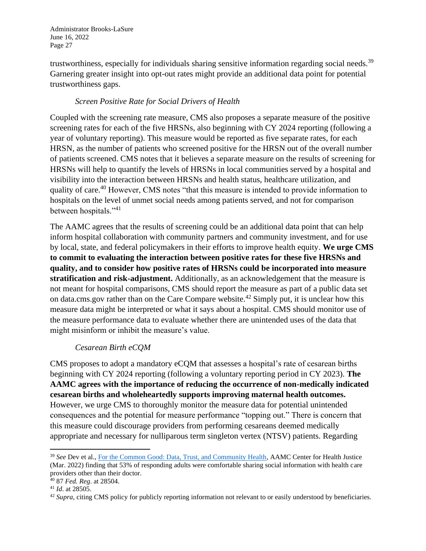trustworthiness, especially for individuals sharing sensitive information regarding social needs.<sup>39</sup> Garnering greater insight into opt-out rates might provide an additional data point for potential trustworthiness gaps.

## *Screen Positive Rate for Social Drivers of Health*

Coupled with the screening rate measure, CMS also proposes a separate measure of the positive screening rates for each of the five HRSNs, also beginning with CY 2024 reporting (following a year of voluntary reporting). This measure would be reported as five separate rates, for each HRSN, as the number of patients who screened positive for the HRSN out of the overall number of patients screened. CMS notes that it believes a separate measure on the results of screening for HRSNs will help to quantify the levels of HRSNs in local communities served by a hospital and visibility into the interaction between HRSNs and health status, healthcare utilization, and quality of care.<sup>40</sup> However, CMS notes "that this measure is intended to provide information to hospitals on the level of unmet social needs among patients served, and not for comparison between hospitals."<sup>41</sup>

The AAMC agrees that the results of screening could be an additional data point that can help inform hospital collaboration with community partners and community investment, and for use by local, state, and federal policymakers in their efforts to improve health equity. **We urge CMS to commit to evaluating the interaction between positive rates for these five HRSNs and quality, and to consider how positive rates of HRSNs could be incorporated into measure stratification and risk-adjustment.** Additionally, as an acknowledgement that the measure is not meant for hospital comparisons, CMS should report the measure as part of a public data set on data.cms.gov rather than on the Care Compare website.<sup>42</sup> Simply put, it is unclear how this measure data might be interpreted or what it says about a hospital. CMS should monitor use of the measure performance data to evaluate whether there are unintended uses of the data that might misinform or inhibit the measure's value.

#### *Cesarean Birth eCQM*

CMS proposes to adopt a mandatory eCQM that assesses a hospital's rate of cesarean births beginning with CY 2024 reporting (following a voluntary reporting period in CY 2023). **The AAMC agrees with the importance of reducing the occurrence of non-medically indicated cesarean births and wholeheartedly supports improving maternal health outcomes.** However, we urge CMS to thoroughly monitor the measure data for potential unintended consequences and the potential for measure performance "topping out." There is concern that this measure could discourage providers from performing cesareans deemed medically appropriate and necessary for nulliparous term singleton vertex (NTSV) patients. Regarding

<sup>39</sup> *See* Dev et al., [For the Common Good: Data, Trust, and Community Health,](https://www.aamchealthjustice.org/our-work/data-health-equity/common-good) AAMC Center for Health Justice (Mar. 2022) finding that 53% of responding adults were comfortable sharing social information with health care providers other than their doctor.

<sup>40</sup> 87 *Fed. Reg*. at 28504.

<sup>41</sup> *Id*. at 28505.

<sup>42</sup> *Supra*, citing CMS policy for publicly reporting information not relevant to or easily understood by beneficiaries.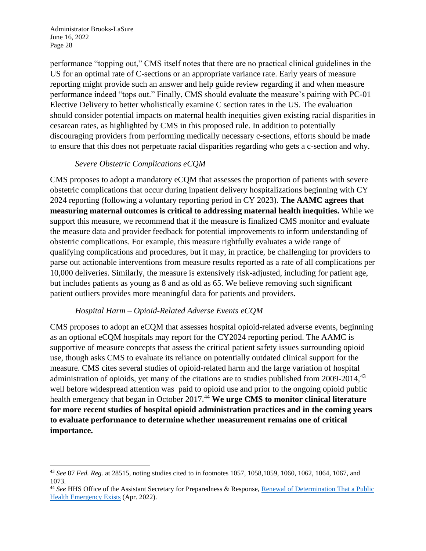performance "topping out," CMS itself notes that there are no practical clinical guidelines in the US for an optimal rate of C-sections or an appropriate variance rate. Early years of measure reporting might provide such an answer and help guide review regarding if and when measure performance indeed "tops out." Finally, CMS should evaluate the measure's pairing with PC-01 Elective Delivery to better wholistically examine C section rates in the US. The evaluation should consider potential impacts on maternal health inequities given existing racial disparities in cesarean rates, as highlighted by CMS in this proposed rule. In addition to potentially discouraging providers from performing medically necessary c-sections, efforts should be made to ensure that this does not perpetuate racial disparities regarding who gets a c-section and why.

#### *Severe Obstetric Complications eCQM*

CMS proposes to adopt a mandatory eCQM that assesses the proportion of patients with severe obstetric complications that occur during inpatient delivery hospitalizations beginning with CY 2024 reporting (following a voluntary reporting period in CY 2023). **The AAMC agrees that measuring maternal outcomes is critical to addressing maternal health inequities.** While we support this measure, we recommend that if the measure is finalized CMS monitor and evaluate the measure data and provider feedback for potential improvements to inform understanding of obstetric complications. For example, this measure rightfully evaluates a wide range of qualifying complications and procedures, but it may, in practice, be challenging for providers to parse out actionable interventions from measure results reported as a rate of all complications per 10,000 deliveries. Similarly, the measure is extensively risk-adjusted, including for patient age, but includes patients as young as 8 and as old as 65. We believe removing such significant patient outliers provides more meaningful data for patients and providers.

## *Hospital Harm – Opioid-Related Adverse Events eCQM*

CMS proposes to adopt an eCQM that assesses hospital opioid-related adverse events, beginning as an optional eCQM hospitals may report for the CY2024 reporting period. The AAMC is supportive of measure concepts that assess the critical patient safety issues surrounding opioid use, though asks CMS to evaluate its reliance on potentially outdated clinical support for the measure. CMS cites several studies of opioid-related harm and the large variation of hospital administration of opioids, yet many of the citations are to studies published from  $2009-2014$ ,  $43$ well before widespread attention was paid to opioid use and prior to the ongoing opioid public health emergency that began in October 2017.<sup>44</sup> We urge CMS to monitor clinical literature **for more recent studies of hospital opioid administration practices and in the coming years to evaluate performance to determine whether measurement remains one of critical importance.**

<sup>43</sup> *See* 87 *Fed. Reg.* at 28515, noting studies cited to in footnotes 1057, 1058,1059, 1060, 1062, 1064, 1067, and 1073.

<sup>&</sup>lt;sup>44</sup> See HHS Office of the Assistant Secretary for Preparedness & Response, Renewal of Determination That a Public [Health Emergency Exists](https://aspr.hhs.gov/legal/PHE/Pages/Opioid-4Apr22.aspx) (Apr. 2022).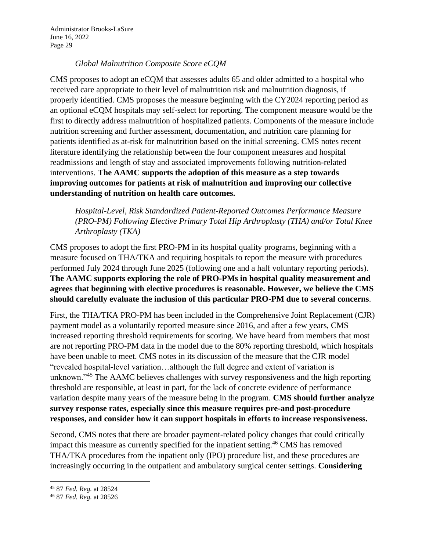## *Global Malnutrition Composite Score eCQM*

CMS proposes to adopt an eCQM that assesses adults 65 and older admitted to a hospital who received care appropriate to their level of malnutrition risk and malnutrition diagnosis, if properly identified. CMS proposes the measure beginning with the CY2024 reporting period as an optional eCQM hospitals may self-select for reporting. The component measure would be the first to directly address malnutrition of hospitalized patients. Components of the measure include nutrition screening and further assessment, documentation, and nutrition care planning for patients identified as at-risk for malnutrition based on the initial screening. CMS notes recent literature identifying the relationship between the four component measures and hospital readmissions and length of stay and associated improvements following nutrition-related interventions. **The AAMC supports the adoption of this measure as a step towards improving outcomes for patients at risk of malnutrition and improving our collective understanding of nutrition on health care outcomes.**

*Hospital-Level, Risk Standardized Patient-Reported Outcomes Performance Measure (PRO-PM) Following Elective Primary Total Hip Arthroplasty (THA) and/or Total Knee Arthroplasty (TKA)*

CMS proposes to adopt the first PRO-PM in its hospital quality programs, beginning with a measure focused on THA/TKA and requiring hospitals to report the measure with procedures performed July 2024 through June 2025 (following one and a half voluntary reporting periods). **The AAMC supports exploring the role of PRO-PMs in hospital quality measurement and agrees that beginning with elective procedures is reasonable. However, we believe the CMS should carefully evaluate the inclusion of this particular PRO-PM due to several concerns**.

First, the THA/TKA PRO-PM has been included in the Comprehensive Joint Replacement (CJR) payment model as a voluntarily reported measure since 2016, and after a few years, CMS increased reporting threshold requirements for scoring. We have heard from members that most are not reporting PRO-PM data in the model due to the 80% reporting threshold, which hospitals have been unable to meet. CMS notes in its discussion of the measure that the CJR model "revealed hospital-level variation…although the full degree and extent of variation is unknown."<sup>45</sup> The AAMC believes challenges with survey responsiveness and the high reporting threshold are responsible, at least in part, for the lack of concrete evidence of performance variation despite many years of the measure being in the program. **CMS should further analyze survey response rates, especially since this measure requires pre-and post-procedure responses, and consider how it can support hospitals in efforts to increase responsiveness.**

Second, CMS notes that there are broader payment-related policy changes that could critically impact this measure as currently specified for the inpatient setting. <sup>46</sup> CMS has removed THA/TKA procedures from the inpatient only (IPO) procedure list, and these procedures are increasingly occurring in the outpatient and ambulatory surgical center settings. **Considering** 

<sup>45</sup> 87 *Fed. Reg.* at 28524

<sup>46</sup> 87 *Fed. Reg.* at 28526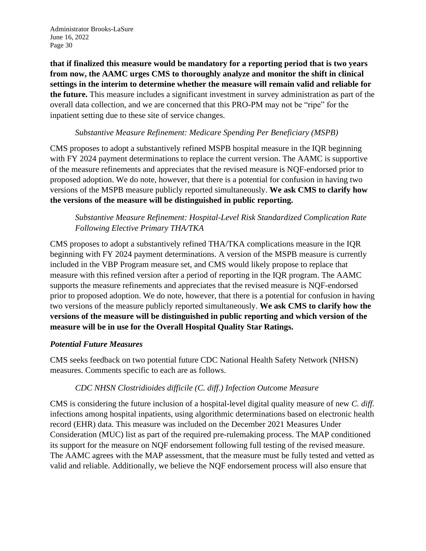**that if finalized this measure would be mandatory for a reporting period that is two years from now, the AAMC urges CMS to thoroughly analyze and monitor the shift in clinical settings in the interim to determine whether the measure will remain valid and reliable for the future.** This measure includes a significant investment in survey administration as part of the overall data collection, and we are concerned that this PRO-PM may not be "ripe" for the inpatient setting due to these site of service changes.

#### *Substantive Measure Refinement: Medicare Spending Per Beneficiary (MSPB)*

CMS proposes to adopt a substantively refined MSPB hospital measure in the IQR beginning with FY 2024 payment determinations to replace the current version. The AAMC is supportive of the measure refinements and appreciates that the revised measure is NQF-endorsed prior to proposed adoption. We do note, however, that there is a potential for confusion in having two versions of the MSPB measure publicly reported simultaneously. **We ask CMS to clarify how the versions of the measure will be distinguished in public reporting.**

## *Substantive Measure Refinement: Hospital-Level Risk Standardized Complication Rate Following Elective Primary THA/TKA*

CMS proposes to adopt a substantively refined THA/TKA complications measure in the IQR beginning with FY 2024 payment determinations. A version of the MSPB measure is currently included in the VBP Program measure set, and CMS would likely propose to replace that measure with this refined version after a period of reporting in the IQR program. The AAMC supports the measure refinements and appreciates that the revised measure is NQF-endorsed prior to proposed adoption. We do note, however, that there is a potential for confusion in having two versions of the measure publicly reported simultaneously. **We ask CMS to clarify how the versions of the measure will be distinguished in public reporting and which version of the measure will be in use for the Overall Hospital Quality Star Ratings.**

#### *Potential Future Measures*

CMS seeks feedback on two potential future CDC National Health Safety Network (NHSN) measures. Comments specific to each are as follows.

## *CDC NHSN Clostridioides difficile (C. diff.) Infection Outcome Measure*

CMS is considering the future inclusion of a hospital-level digital quality measure of new *C. diff.* infections among hospital inpatients, using algorithmic determinations based on electronic health record (EHR) data. This measure was included on the December 2021 Measures Under Consideration (MUC) list as part of the required pre-rulemaking process. The MAP conditioned its support for the measure on NQF endorsement following full testing of the revised measure. The AAMC agrees with the MAP assessment, that the measure must be fully tested and vetted as valid and reliable. Additionally, we believe the NQF endorsement process will also ensure that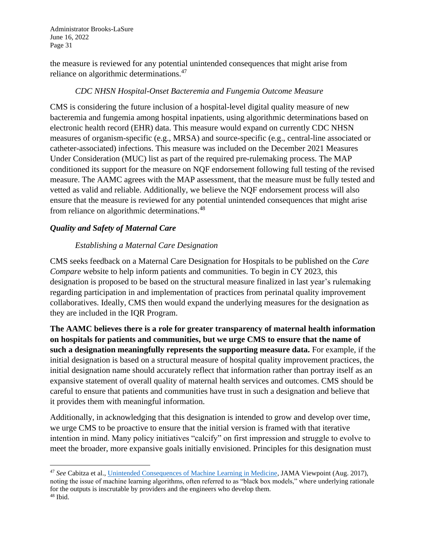the measure is reviewed for any potential unintended consequences that might arise from reliance on algorithmic determinations.<sup>47</sup>

#### *CDC NHSN Hospital-Onset Bacteremia and Fungemia Outcome Measure*

CMS is considering the future inclusion of a hospital-level digital quality measure of new bacteremia and fungemia among hospital inpatients, using algorithmic determinations based on electronic health record (EHR) data. This measure would expand on currently CDC NHSN measures of organism-specific (e.g., MRSA) and source-specific (e.g., central-line associated or catheter-associated) infections. This measure was included on the December 2021 Measures Under Consideration (MUC) list as part of the required pre-rulemaking process. The MAP conditioned its support for the measure on NQF endorsement following full testing of the revised measure. The AAMC agrees with the MAP assessment, that the measure must be fully tested and vetted as valid and reliable. Additionally, we believe the NQF endorsement process will also ensure that the measure is reviewed for any potential unintended consequences that might arise from reliance on algorithmic determinations.<sup>48</sup>

## *Quality and Safety of Maternal Care*

## *Establishing a Maternal Care Designation*

CMS seeks feedback on a Maternal Care Designation for Hospitals to be published on the *Care Compare* website to help inform patients and communities. To begin in CY 2023, this designation is proposed to be based on the structural measure finalized in last year's rulemaking regarding participation in and implementation of practices from perinatal quality improvement collaboratives. Ideally, CMS then would expand the underlying measures for the designation as they are included in the IQR Program.

**The AAMC believes there is a role for greater transparency of maternal health information on hospitals for patients and communities, but we urge CMS to ensure that the name of such a designation meaningfully represents the supporting measure data.** For example, if the initial designation is based on a structural measure of hospital quality improvement practices, the initial designation name should accurately reflect that information rather than portray itself as an expansive statement of overall quality of maternal health services and outcomes. CMS should be careful to ensure that patients and communities have trust in such a designation and believe that it provides them with meaningful information.

Additionally, in acknowledging that this designation is intended to grow and develop over time, we urge CMS to be proactive to ensure that the initial version is framed with that iterative intention in mind. Many policy initiatives "calcify" on first impression and struggle to evolve to meet the broader, more expansive goals initially envisioned. Principles for this designation must

<sup>47</sup> *See* Cabitza et al., [Unintended Consequences of Machine Learning in Medicine,](https://jamanetwork.com/journals/jama/article-abstract/2645762) JAMA Viewpoint (Aug. 2017), noting the issue of machine learning algorithms, often referred to as "black box models," where underlying rationale for the outputs is inscrutable by providers and the engineers who develop them. <sup>48</sup> Ibid.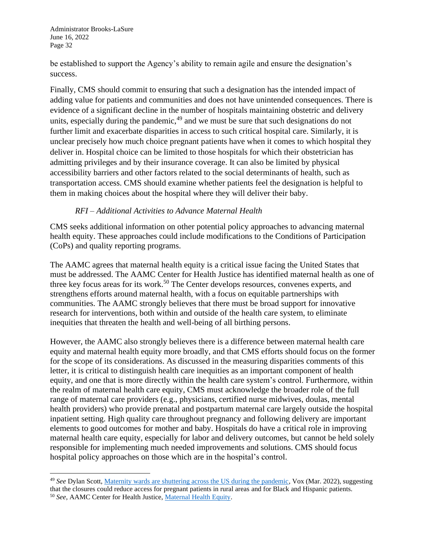be established to support the Agency's ability to remain agile and ensure the designation's success.

Finally, CMS should commit to ensuring that such a designation has the intended impact of adding value for patients and communities and does not have unintended consequences. There is evidence of a significant decline in the number of hospitals maintaining obstetric and delivery units, especially during the pandemic, $49$  and we must be sure that such designations do not further limit and exacerbate disparities in access to such critical hospital care. Similarly, it is unclear precisely how much choice pregnant patients have when it comes to which hospital they deliver in. Hospital choice can be limited to those hospitals for which their obstetrician has admitting privileges and by their insurance coverage. It can also be limited by physical accessibility barriers and other factors related to the social determinants of health, such as transportation access. CMS should examine whether patients feel the designation is helpful to them in making choices about the hospital where they will deliver their baby.

#### *RFI – Additional Activities to Advance Maternal Health*

CMS seeks additional information on other potential policy approaches to advancing maternal health equity. These approaches could include modifications to the Conditions of Participation (CoPs) and quality reporting programs.

The AAMC agrees that maternal health equity is a critical issue facing the United States that must be addressed. The AAMC Center for Health Justice has identified maternal health as one of three key focus areas for its work.<sup>50</sup> The Center develops resources, convenes experts, and strengthens efforts around maternal health, with a focus on equitable partnerships with communities. The AAMC strongly believes that there must be broad support for innovative research for interventions, both within and outside of the health care system, to eliminate inequities that threaten the health and well-being of all birthing persons.

However, the AAMC also strongly believes there is a difference between maternal health care equity and maternal health equity more broadly, and that CMS efforts should focus on the former for the scope of its considerations. As discussed in the measuring disparities comments of this letter, it is critical to distinguish health care inequities as an important component of health equity, and one that is more directly within the health care system's control. Furthermore, within the realm of maternal health care equity, CMS must acknowledge the broader role of the full range of maternal care providers (e.g., physicians, certified nurse midwives, doulas, mental health providers) who provide prenatal and postpartum maternal care largely outside the hospital inpatient setting. High quality care throughout pregnancy and following delivery are important elements to good outcomes for mother and baby. Hospitals do have a critical role in improving maternal health care equity, especially for labor and delivery outcomes, but cannot be held solely responsible for implementing much needed improvements and solutions. CMS should focus hospital policy approaches on those which are in the hospital's control.

<sup>49</sup> *See* Dylan Scott, [Maternity wards are shuttering across the US during the pandemic,](https://www.vox.com/22923432/maternity-wards-hospitals-covid-19-pandemic) Vox (Mar. 2022), suggesting that the closures could reduce access for pregnant patients in rural areas and for Black and Hispanic patients. <sup>50</sup> *See*, AAMC Center for Health Justice, [Maternal Health Equity.](https://www.aamchealthjustice.org/our-work/maternal-health-equity)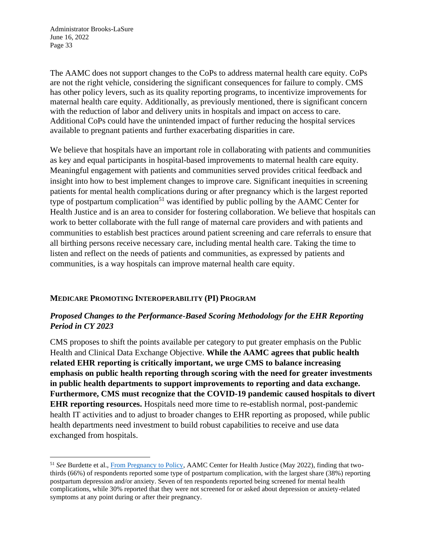The AAMC does not support changes to the CoPs to address maternal health care equity. CoPs are not the right vehicle, considering the significant consequences for failure to comply. CMS has other policy levers, such as its quality reporting programs, to incentivize improvements for maternal health care equity. Additionally, as previously mentioned, there is significant concern with the reduction of labor and delivery units in hospitals and impact on access to care. Additional CoPs could have the unintended impact of further reducing the hospital services available to pregnant patients and further exacerbating disparities in care.

We believe that hospitals have an important role in collaborating with patients and communities as key and equal participants in hospital-based improvements to maternal health care equity. Meaningful engagement with patients and communities served provides critical feedback and insight into how to best implement changes to improve care. Significant inequities in screening patients for mental health complications during or after pregnancy which is the largest reported type of postpartum complication<sup>51</sup> was identified by public polling by the AAMC Center for Health Justice and is an area to consider for fostering collaboration. We believe that hospitals can work to better collaborate with the full range of maternal care providers and with patients and communities to establish best practices around patient screening and care referrals to ensure that all birthing persons receive necessary care, including mental health care. Taking the time to listen and reflect on the needs of patients and communities, as expressed by patients and communities, is a way hospitals can improve maternal health care equity.

#### **MEDICARE PROMOTING INTEROPERABILITY (PI) PROGRAM**

## *Proposed Changes to the Performance-Based Scoring Methodology for the EHR Reporting Period in CY 2023*

CMS proposes to shift the points available per category to put greater emphasis on the Public Health and Clinical Data Exchange Objective. **While the AAMC agrees that public health related EHR reporting is critically important, we urge CMS to balance increasing emphasis on public health reporting through scoring with the need for greater investments in public health departments to support improvements to reporting and data exchange. Furthermore, CMS must recognize that the COVID-19 pandemic caused hospitals to divert EHR reporting resources.** Hospitals need more time to re-establish normal, post-pandemic health IT activities and to adjust to broader changes to EHR reporting as proposed, while public health departments need investment to build robust capabilities to receive and use data exchanged from hospitals.

<sup>51</sup> *See* Burdette et al.[, From Pregnancy to Policy,](https://www.aamchealthjustice.org/our-work/maternal-health-equity/polling) AAMC Center for Health Justice (May 2022), finding that twothirds (66%) of respondents reported some type of postpartum complication, with the largest share (38%) reporting postpartum depression and/or anxiety. Seven of ten respondents reported being screened for mental health complications, while 30% reported that they were not screened for or asked about depression or anxiety-related symptoms at any point during or after their pregnancy.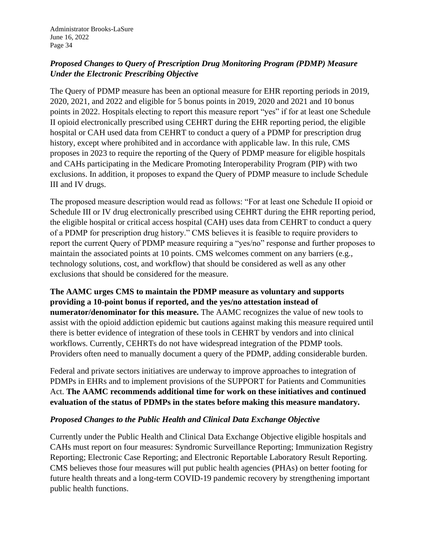# *Proposed Changes to Query of Prescription Drug Monitoring Program (PDMP) Measure Under the Electronic Prescribing Objective*

The Query of PDMP measure has been an optional measure for EHR reporting periods in 2019, 2020, 2021, and 2022 and eligible for 5 bonus points in 2019, 2020 and 2021 and 10 bonus points in 2022. Hospitals electing to report this measure report "yes" if for at least one Schedule II opioid electronically prescribed using CEHRT during the EHR reporting period, the eligible hospital or CAH used data from CEHRT to conduct a query of a PDMP for prescription drug history, except where prohibited and in accordance with applicable law. In this rule, CMS proposes in 2023 to require the reporting of the Query of PDMP measure for eligible hospitals and CAHs participating in the Medicare Promoting Interoperability Program (PIP) with two exclusions. In addition, it proposes to expand the Query of PDMP measure to include Schedule III and IV drugs.

The proposed measure description would read as follows: "For at least one Schedule II opioid or Schedule III or IV drug electronically prescribed using CEHRT during the EHR reporting period, the eligible hospital or critical access hospital (CAH) uses data from CEHRT to conduct a query of a PDMP for prescription drug history." CMS believes it is feasible to require providers to report the current Query of PDMP measure requiring a "yes/no" response and further proposes to maintain the associated points at 10 points. CMS welcomes comment on any barriers (e.g., technology solutions, cost, and workflow) that should be considered as well as any other exclusions that should be considered for the measure.

**The AAMC urges CMS to maintain the PDMP measure as voluntary and supports providing a 10-point bonus if reported, and the yes/no attestation instead of numerator/denominator for this measure.** The AAMC recognizes the value of new tools to assist with the opioid addiction epidemic but cautions against making this measure required until there is better evidence of integration of these tools in CEHRT by vendors and into clinical workflows. Currently, CEHRTs do not have widespread integration of the PDMP tools. Providers often need to manually document a query of the PDMP, adding considerable burden.

Federal and private sectors initiatives are underway to improve approaches to integration of PDMPs in EHRs and to implement provisions of the SUPPORT for Patients and Communities Act. **The AAMC recommends additional time for work on these initiatives and continued evaluation of the status of PDMPs in the states before making this measure mandatory.**

#### *Proposed Changes to the Public Health and Clinical Data Exchange Objective*

Currently under the Public Health and Clinical Data Exchange Objective eligible hospitals and CAHs must report on four measures: Syndromic Surveillance Reporting; Immunization Registry Reporting; Electronic Case Reporting; and Electronic Reportable Laboratory Result Reporting. CMS believes those four measures will put public health agencies (PHAs) on better footing for future health threats and a long-term COVID-19 pandemic recovery by strengthening important public health functions.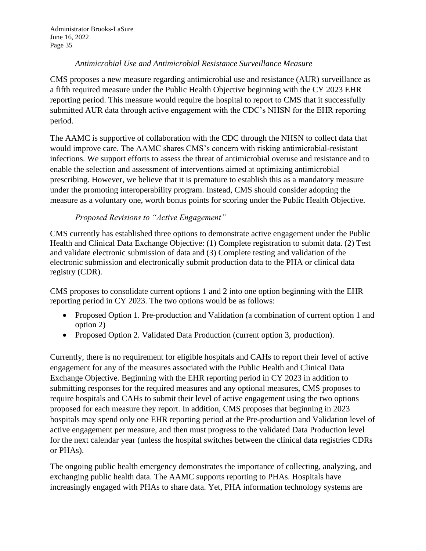#### *Antimicrobial Use and Antimicrobial Resistance Surveillance Measure*

CMS proposes a new measure regarding antimicrobial use and resistance (AUR) surveillance as a fifth required measure under the Public Health Objective beginning with the CY 2023 EHR reporting period. This measure would require the hospital to report to CMS that it successfully submitted AUR data through active engagement with the CDC's NHSN for the EHR reporting period.

The AAMC is supportive of collaboration with the CDC through the NHSN to collect data that would improve care. The AAMC shares CMS's concern with risking antimicrobial-resistant infections. We support efforts to assess the threat of antimicrobial overuse and resistance and to enable the selection and assessment of interventions aimed at optimizing antimicrobial prescribing. However, we believe that it is premature to establish this as a mandatory measure under the promoting interoperability program. Instead, CMS should consider adopting the measure as a voluntary one, worth bonus points for scoring under the Public Health Objective.

## *Proposed Revisions to "Active Engagement"*

CMS currently has established three options to demonstrate active engagement under the Public Health and Clinical Data Exchange Objective: (1) Complete registration to submit data. (2) Test and validate electronic submission of data and (3) Complete testing and validation of the electronic submission and electronically submit production data to the PHA or clinical data registry (CDR).

CMS proposes to consolidate current options 1 and 2 into one option beginning with the EHR reporting period in CY 2023. The two options would be as follows:

- Proposed Option 1. Pre-production and Validation (a combination of current option 1 and option 2)
- Proposed Option 2. Validated Data Production (current option 3, production).

Currently, there is no requirement for eligible hospitals and CAHs to report their level of active engagement for any of the measures associated with the Public Health and Clinical Data Exchange Objective. Beginning with the EHR reporting period in CY 2023 in addition to submitting responses for the required measures and any optional measures, CMS proposes to require hospitals and CAHs to submit their level of active engagement using the two options proposed for each measure they report. In addition, CMS proposes that beginning in 2023 hospitals may spend only one EHR reporting period at the Pre-production and Validation level of active engagement per measure, and then must progress to the validated Data Production level for the next calendar year (unless the hospital switches between the clinical data registries CDRs or PHAs).

The ongoing public health emergency demonstrates the importance of collecting, analyzing, and exchanging public health data. The AAMC supports reporting to PHAs. Hospitals have increasingly engaged with PHAs to share data. Yet, PHA information technology systems are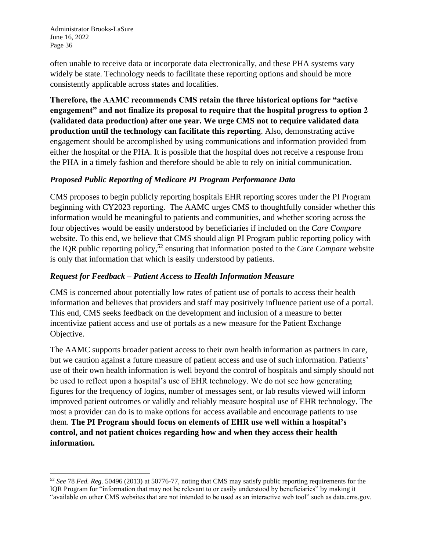often unable to receive data or incorporate data electronically, and these PHA systems vary widely be state. Technology needs to facilitate these reporting options and should be more consistently applicable across states and localities.

**Therefore, the AAMC recommends CMS retain the three historical options for "active engagement" and not finalize its proposal to require that the hospital progress to option 2 (validated data production) after one year. We urge CMS not to require validated data production until the technology can facilitate this reporting**. Also, demonstrating active engagement should be accomplished by using communications and information provided from either the hospital or the PHA. It is possible that the hospital does not receive a response from the PHA in a timely fashion and therefore should be able to rely on initial communication.

## *Proposed Public Reporting of Medicare PI Program Performance Data*

CMS proposes to begin publicly reporting hospitals EHR reporting scores under the PI Program beginning with CY2023 reporting. The AAMC urges CMS to thoughtfully consider whether this information would be meaningful to patients and communities, and whether scoring across the four objectives would be easily understood by beneficiaries if included on the *Care Compare*  website. To this end, we believe that CMS should align PI Program public reporting policy with the IQR public reporting policy,<sup>52</sup> ensuring that information posted to the *Care Compare* website is only that information that which is easily understood by patients.

#### *Request for Feedback – Patient Access to Health Information Measure*

CMS is concerned about potentially low rates of patient use of portals to access their health information and believes that providers and staff may positively influence patient use of a portal. This end, CMS seeks feedback on the development and inclusion of a measure to better incentivize patient access and use of portals as a new measure for the Patient Exchange Objective.

The AAMC supports broader patient access to their own health information as partners in care, but we caution against a future measure of patient access and use of such information. Patients' use of their own health information is well beyond the control of hospitals and simply should not be used to reflect upon a hospital's use of EHR technology. We do not see how generating figures for the frequency of logins, number of messages sent, or lab results viewed will inform improved patient outcomes or validly and reliably measure hospital use of EHR technology. The most a provider can do is to make options for access available and encourage patients to use them. **The PI Program should focus on elements of EHR use well within a hospital's control, and not patient choices regarding how and when they access their health information.**

<sup>52</sup> *See* 78 *Fed. Reg.* 50496 (2013) at 50776-77, noting that CMS may satisfy public reporting requirements for the IQR Program for "information that may not be relevant to or easily understood by beneficiaries" by making it "available on other CMS websites that are not intended to be used as an interactive web tool" such as data.cms.gov.